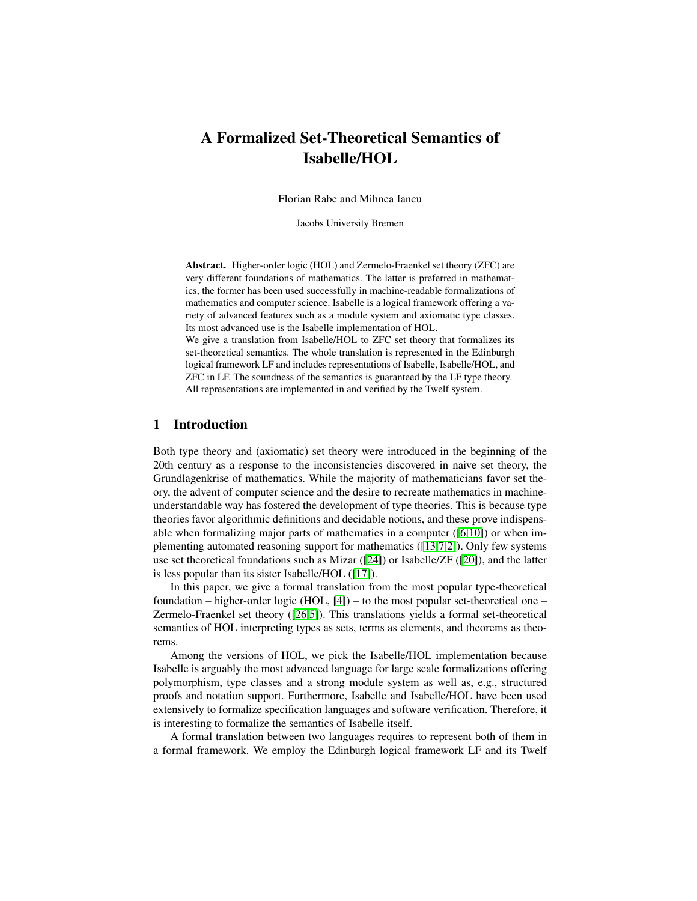# A Formalized Set-Theoretical Semantics of Isabelle/HOL

Florian Rabe and Mihnea Iancu

Jacobs University Bremen

Abstract. Higher-order logic (HOL) and Zermelo-Fraenkel set theory (ZFC) are very different foundations of mathematics. The latter is preferred in mathematics, the former has been used successfully in machine-readable formalizations of mathematics and computer science. Isabelle is a logical framework offering a variety of advanced features such as a module system and axiomatic type classes. Its most advanced use is the Isabelle implementation of HOL.

We give a translation from Isabelle/HOL to ZFC set theory that formalizes its set-theoretical semantics. The whole translation is represented in the Edinburgh logical framework LF and includes representations of Isabelle, Isabelle/HOL, and ZFC in LF. The soundness of the semantics is guaranteed by the LF type theory. All representations are implemented in and verified by the Twelf system.

# 1 Introduction

Both type theory and (axiomatic) set theory were introduced in the beginning of the 20th century as a response to the inconsistencies discovered in naive set theory, the Grundlagenkrise of mathematics. While the majority of mathematicians favor set theory, the advent of computer science and the desire to recreate mathematics in machineunderstandable way has fostered the development of type theories. This is because type theories favor algorithmic definitions and decidable notions, and these prove indispensable when formalizing major parts of mathematics in a computer  $([6,10])$  $([6,10])$  $([6,10])$  $([6,10])$  or when implementing automated reasoning support for mathematics ([\[13](#page-15-0)[,7](#page-14-2)[,2\]](#page-14-3)). Only few systems use set theoretical foundations such as Mizar ([\[24\]](#page-15-1)) or Isabelle/ZF ([\[20\]](#page-15-2)), and the latter is less popular than its sister Isabelle/HOL ([\[17\]](#page-15-3)).

In this paper, we give a formal translation from the most popular type-theoretical foundation – higher-order logic (HOL,  $[4]$ ) – to the most popular set-theoretical one – Zermelo-Fraenkel set theory ([\[26,](#page-15-4)[5\]](#page-14-5)). This translations yields a formal set-theoretical semantics of HOL interpreting types as sets, terms as elements, and theorems as theorems.

Among the versions of HOL, we pick the Isabelle/HOL implementation because Isabelle is arguably the most advanced language for large scale formalizations offering polymorphism, type classes and a strong module system as well as, e.g., structured proofs and notation support. Furthermore, Isabelle and Isabelle/HOL have been used extensively to formalize specification languages and software verification. Therefore, it is interesting to formalize the semantics of Isabelle itself.

A formal translation between two languages requires to represent both of them in a formal framework. We employ the Edinburgh logical framework LF and its Twelf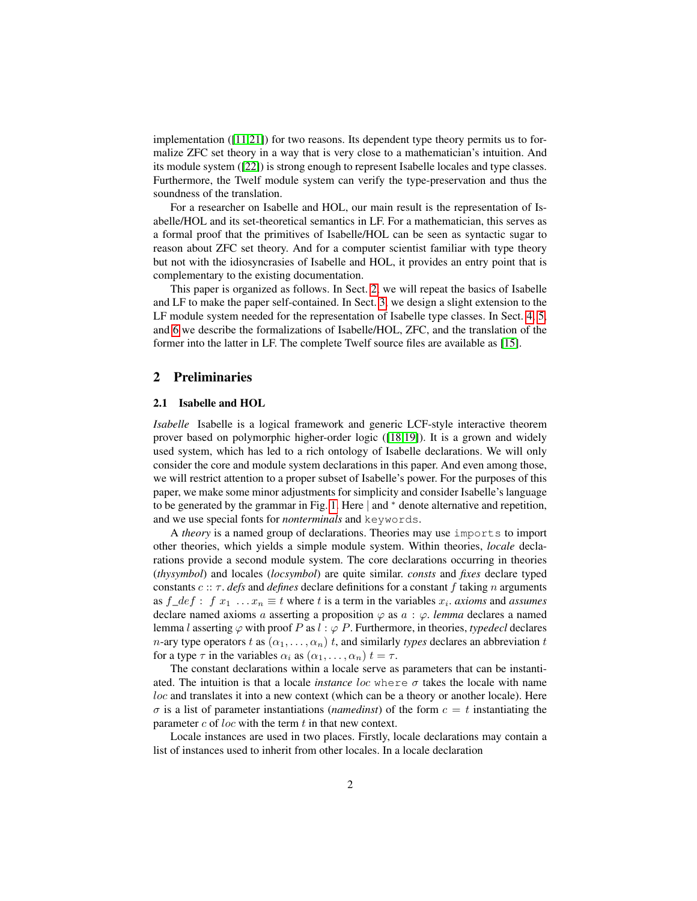implementation  $([11,21])$  $([11,21])$  $([11,21])$  $([11,21])$  for two reasons. Its dependent type theory permits us to formalize ZFC set theory in a way that is very close to a mathematician's intuition. And its module system ([\[22\]](#page-15-7)) is strong enough to represent Isabelle locales and type classes. Furthermore, the Twelf module system can verify the type-preservation and thus the soundness of the translation.

For a researcher on Isabelle and HOL, our main result is the representation of Isabelle/HOL and its set-theoretical semantics in LF. For a mathematician, this serves as a formal proof that the primitives of Isabelle/HOL can be seen as syntactic sugar to reason about ZFC set theory. And for a computer scientist familiar with type theory but not with the idiosyncrasies of Isabelle and HOL, it provides an entry point that is complementary to the existing documentation.

This paper is organized as follows. In Sect. [2,](#page-1-0) we will repeat the basics of Isabelle and LF to make the paper self-contained. In Sect. [3,](#page-5-0) we design a slight extension to the LF module system needed for the representation of Isabelle type classes. In Sect. [4,](#page-6-0) [5,](#page-10-0) and [6](#page-12-0) we describe the formalizations of Isabelle/HOL, ZFC, and the translation of the former into the latter in LF. The complete Twelf source files are available as [\[15\]](#page-15-8).

#### <span id="page-1-0"></span>2 Preliminaries

#### 2.1 Isabelle and HOL

*Isabelle* Isabelle is a logical framework and generic LCF-style interactive theorem prover based on polymorphic higher-order logic ([\[18,](#page-15-9)[19\]](#page-15-10)). It is a grown and widely used system, which has led to a rich ontology of Isabelle declarations. We will only consider the core and module system declarations in this paper. And even among those, we will restrict attention to a proper subset of Isabelle's power. For the purposes of this paper, we make some minor adjustments for simplicity and consider Isabelle's language to be generated by the grammar in Fig. [1.](#page-2-0) Here | and <sup>∗</sup> denote alternative and repetition, and we use special fonts for *nonterminals* and keywords.

A *theory* is a named group of declarations. Theories may use imports to import other theories, which yields a simple module system. Within theories, *locale* declarations provide a second module system. The core declarations occurring in theories (*thysymbol*) and locales (*locsymbol*) are quite similar. *consts* and *fixes* declare typed constants  $c :: \tau$ . *defs* and *defines* declare definitions for a constant f taking n arguments as  $f\_{def}$ :  $f x_1 ... x_n \equiv t$  where  $t$  is a term in the variables  $x_i$ . *axioms* and *assumes* declare named axioms a asserting a proposition  $\varphi$  as  $a : \varphi$ . *lemma* declares a named lemma l asserting  $\varphi$  with proof P as  $l : \varphi$  P. Furthermore, in theories, *typedecl* declares *n*-ary type operators t as  $(\alpha_1, \ldots, \alpha_n)$  t, and similarly types declares an abbreviation t for a type  $\tau$  in the variables  $\alpha_i$  as  $(\alpha_1, \ldots, \alpha_n)$   $t = \tau$ .

The constant declarations within a locale serve as parameters that can be instantiated. The intuition is that a locale *instance* loc where  $\sigma$  takes the locale with name loc and translates it into a new context (which can be a theory or another locale). Here  $\sigma$  is a list of parameter instantiations (*namedinst*) of the form  $c = t$  instantiating the parameter  $c$  of loc with the term  $t$  in that new context.

Locale instances are used in two places. Firstly, locale declarations may contain a list of instances used to inherit from other locales. In a locale declaration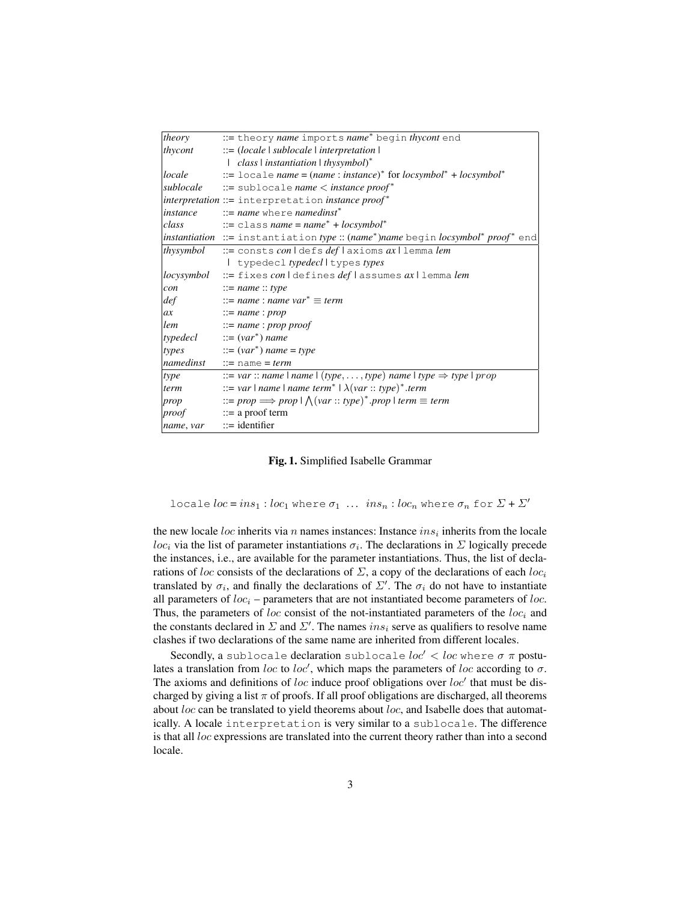| theory     | := theory name imports name* begin thycont end                                                                                                                   |
|------------|------------------------------------------------------------------------------------------------------------------------------------------------------------------|
| thycont    | $ ::= (localhost \mid sublocale \mid interpretation)$                                                                                                            |
|            | $class$   instantiation   thysymbol)*                                                                                                                            |
| locale     | ::= locale name = $(name : instance)^*$ for locsymbol <sup>*</sup> + locsymbol <sup>*</sup>                                                                      |
|            | sublocale $\cdots$ = sublocale name $\lt$ instance proof*                                                                                                        |
|            | $interpretation ::=$ interpretation <i>instance</i> $proof*$                                                                                                     |
| instance   | $ ::= name$ where namedinst <sup>*</sup>                                                                                                                         |
| class      | $\therefore$ = class name = name <sup>*</sup> + locsymbol <sup>*</sup>                                                                                           |
|            | <i>instantiation</i> ::= instantiation <i>type</i> :: ( <i>name</i> <sup>*</sup> ) <i>name</i> begin <i>locsymbol</i> <sup>*</sup> <i>proof</i> <sup>*</sup> end |
| thysymbol  | := consts con ldefs deflaxioms axllemmalem                                                                                                                       |
|            | I typedecl typedecll types types                                                                                                                                 |
| locysymbol | := fixes con   defines deflassumes ax   lemma lem                                                                                                                |
| con        | $ ::= name :: type$                                                                                                                                              |
| def        | $\therefore$ = name : name var <sup>*</sup> $\equiv$ term                                                                                                        |
| ax         | $ ::= name : prop$                                                                                                                                               |
| lem        | $ ::= name : prop \, proof$                                                                                                                                      |
|            | $typedecl ::= (var*) name$                                                                                                                                       |
| types      | $ ::= (var^*)$ name = type                                                                                                                                       |
|            | <i>namedinst</i> ::= name = term                                                                                                                                 |
| type       | ::= var :: name   name   (type, , type) name   type $\Rightarrow$ type   prop                                                                                    |
| term       | ::= var   name   name term <sup>*</sup>   $\lambda (var :: type)^*$ .term                                                                                        |
| prop       | ::= prop $\Rightarrow$ prop $\vert \bigwedge (var :: type)^*$ .prop $\vert$ term $\equiv$ term                                                                   |
| proof      | $\mathrel{\mathop:}=$ a proof term                                                                                                                               |
| name, var  | $ ::=$ identifier                                                                                                                                                |

<span id="page-2-0"></span>Fig. 1. Simplified Isabelle Grammar

locale  $loc = ins_1 : loc_1$  where  $\sigma_1 ... ins_n : loc_n$  where  $\sigma_n$  for  $\Sigma + \Sigma'$ 

the new locale loc inherits via n names instances: Instance  $ins<sub>i</sub>$  inherits from the locale loc<sub>i</sub> via the list of parameter instantiations  $\sigma_i$ . The declarations in  $\Sigma$  logically precede the instances, i.e., are available for the parameter instantiations. Thus, the list of declarations of loc consists of the declarations of  $\Sigma$ , a copy of the declarations of each loc<sub>i</sub> translated by  $\sigma_i$ , and finally the declarations of  $\Sigma'$ . The  $\sigma_i$  do not have to instantiate all parameters of  $loc<sub>i</sub>$  – parameters that are not instantiated become parameters of loc. Thus, the parameters of loc consist of the not-instantiated parameters of the  $loc<sub>i</sub>$  and the constants declared in  $\Sigma$  and  $\Sigma'$ . The names ins<sub>i</sub> serve as qualifiers to resolve name clashes if two declarations of the same name are inherited from different locales.

Secondly, a sublocale declaration sublocale  $loc' < loc$  where  $\sigma \pi$  postulates a translation from loc to loc', which maps the parameters of loc according to  $\sigma$ . The axioms and definitions of loc induce proof obligations over  $loc'$  that must be discharged by giving a list  $\pi$  of proofs. If all proof obligations are discharged, all theorems about  $loc$  can be translated to yield theorems about  $loc$ , and Isabelle does that automatically. A locale interpretation is very similar to a sublocale. The difference is that all loc expressions are translated into the current theory rather than into a second locale.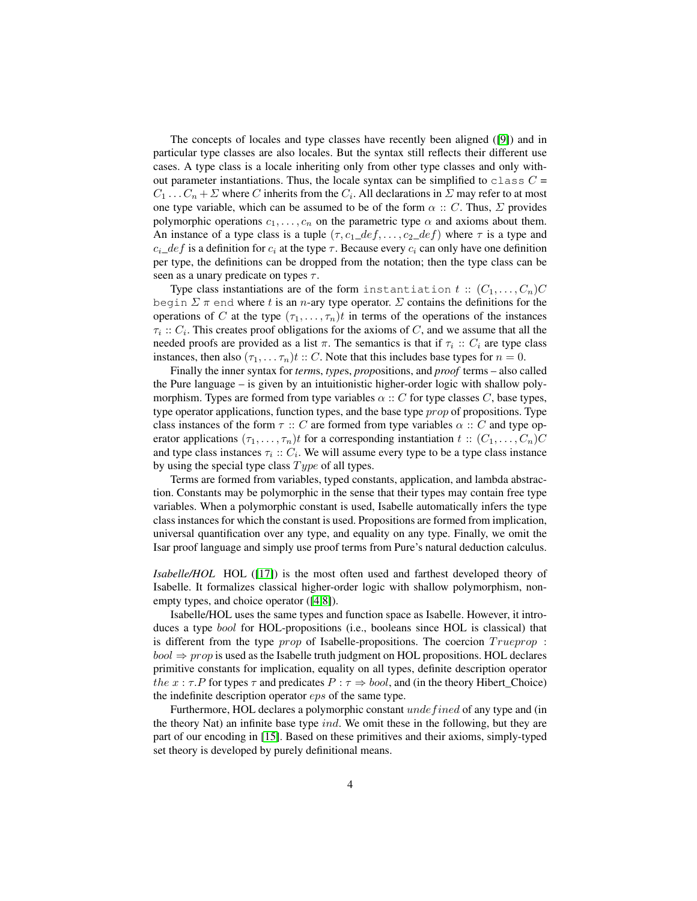The concepts of locales and type classes have recently been aligned ([\[9\]](#page-14-6)) and in particular type classes are also locales. But the syntax still reflects their different use cases. A type class is a locale inheriting only from other type classes and only without parameter instantiations. Thus, the locale syntax can be simplified to class  $C =$  $C_1 \ldots C_n + \Sigma$  where C inherits from the  $C_i$ . All declarations in  $\Sigma$  may refer to at most one type variable, which can be assumed to be of the form  $\alpha :: C$ . Thus,  $\Sigma$  provides polymorphic operations  $c_1, \ldots, c_n$  on the parametric type  $\alpha$  and axioms about them. An instance of a type class is a tuple  $(\tau, c_1 \_def, \ldots, c_2 \_def)$  where  $\tau$  is a type and  $c_i$  definition for  $c_i$  at the type  $\tau$ . Because every  $c_i$  can only have one definition per type, the definitions can be dropped from the notation; then the type class can be seen as a unary predicate on types  $\tau$ .

Type class instantiations are of the form instantiation  $t :: (C_1, \ldots, C_n)C$ begin  $\Sigma \pi$  end where t is an n-ary type operator.  $\Sigma$  contains the definitions for the operations of C at the type  $(\tau_1, \ldots, \tau_n)t$  in terms of the operations of the instances  $\tau_i$ ::  $C_i$ . This creates proof obligations for the axioms of C, and we assume that all the needed proofs are provided as a list  $\pi$ . The semantics is that if  $\tau_i :: C_i$  are type class instances, then also  $(\tau_1, \ldots, \tau_n)t$  :: C. Note that this includes base types for  $n = 0$ .

Finally the inner syntax for *term*s, *type*s, *prop*ositions, and *proof* terms – also called the Pure language – is given by an intuitionistic higher-order logic with shallow polymorphism. Types are formed from type variables  $\alpha$  :: C for type classes C, base types, type operator applications, function types, and the base type *prop* of propositions. Type class instances of the form  $\tau :: C$  are formed from type variables  $\alpha :: C$  and type operator applications  $(\tau_1, \ldots, \tau_n)t$  for a corresponding instantiation  $t : (C_1, \ldots, C_n)C$ and type class instances  $\tau_i :: C_i$ . We will assume every type to be a type class instance by using the special type class  $Type$  of all types.

Terms are formed from variables, typed constants, application, and lambda abstraction. Constants may be polymorphic in the sense that their types may contain free type variables. When a polymorphic constant is used, Isabelle automatically infers the type class instances for which the constant is used. Propositions are formed from implication, universal quantification over any type, and equality on any type. Finally, we omit the Isar proof language and simply use proof terms from Pure's natural deduction calculus.

*Isabelle/HOL* HOL ([\[17\]](#page-15-3)) is the most often used and farthest developed theory of Isabelle. It formalizes classical higher-order logic with shallow polymorphism, nonempty types, and choice operator ([\[4](#page-14-4)[,8\]](#page-14-7)).

Isabelle/HOL uses the same types and function space as Isabelle. However, it introduces a type bool for HOL-propositions (i.e., booleans since HOL is classical) that is different from the type *prop* of Isabelle-propositions. The coercion  $Tru$ eprop :  $bool \Rightarrow prop$  is used as the Isabelle truth judgment on HOL propositions. HOL declares primitive constants for implication, equality on all types, definite description operator the  $x : \tau.P$  for types  $\tau$  and predicates  $P : \tau \Rightarrow bool$ , and (in the theory Hibert\_Choice) the indefinite description operator eps of the same type.

Furthermore, HOL declares a polymorphic constant undefined of any type and (in the theory Nat) an infinite base type ind. We omit these in the following, but they are part of our encoding in [\[15\]](#page-15-8). Based on these primitives and their axioms, simply-typed set theory is developed by purely definitional means.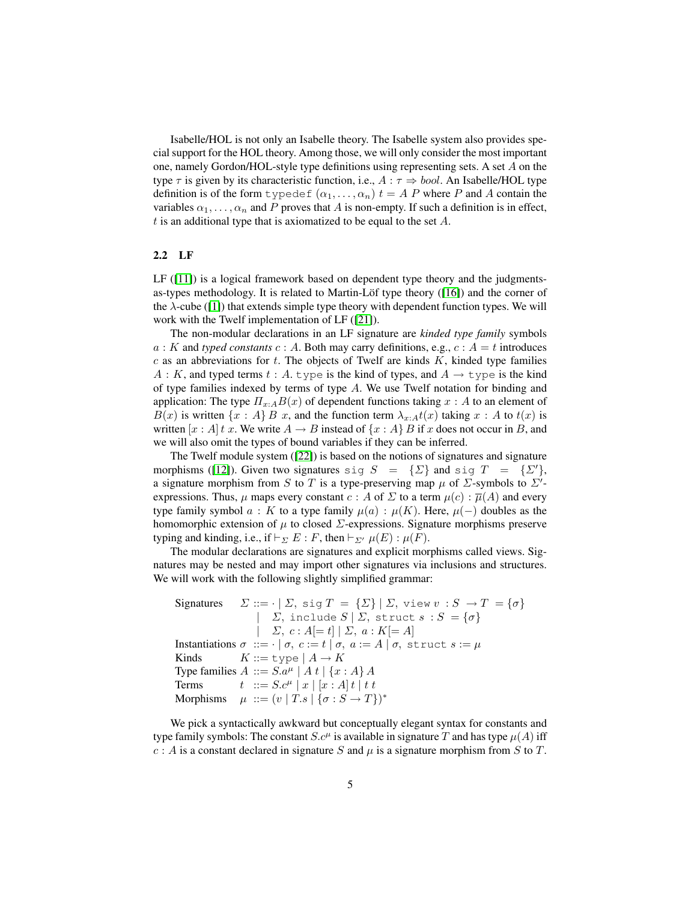Isabelle/HOL is not only an Isabelle theory. The Isabelle system also provides special support for the HOL theory. Among those, we will only consider the most important one, namely Gordon/HOL-style type definitions using representing sets. A set A on the type  $\tau$  is given by its characteristic function, i.e.,  $A : \tau \Rightarrow \text{bool}$ . An Isabelle/HOL type definition is of the form  $\text{typedef}(\alpha_1, \dots, \alpha_n)$   $t = A P$  where P and A contain the variables  $\alpha_1, \ldots, \alpha_n$  and P proves that A is non-empty. If such a definition is in effect, t is an additional type that is axiomatized to be equal to the set  $A$ .

#### 2.2 LF

 $LF (111)$  is a logical framework based on dependent type theory and the judgmentsas-types methodology. It is related to Martin-Löf type theory ([\[16\]](#page-15-11)) and the corner of the  $\lambda$ -cube ([\[1\]](#page-14-8)) that extends simple type theory with dependent function types. We will work with the Twelf implementation of LF ([\[21\]](#page-15-6)).

The non-modular declarations in an LF signature are *kinded type family* symbols  $a: K$  and *typed constants*  $c: A$ . Both may carry definitions, e.g.,  $c: A = t$  introduces  $c$  as an abbreviations for  $t$ . The objects of Twelf are kinds  $K$ , kinded type families A : K, and typed terms t : A. type is the kind of types, and  $A \rightarrow$  type is the kind of type families indexed by terms of type A. We use Twelf notation for binding and application: The type  $\Pi_{x:A}B(x)$  of dependent functions taking  $x:A$  to an element of  $B(x)$  is written  $\{x : A\}$  B x, and the function term  $\lambda_{x:A}t(x)$  taking  $x : A$  to  $t(x)$  is written  $[x : A]t x$ . We write  $A \rightarrow B$  instead of  $\{x : A\}$  B if x does not occur in B, and we will also omit the types of bound variables if they can be inferred.

The Twelf module system ([\[22\]](#page-15-7)) is based on the notions of signatures and signature morphisms ([\[12\]](#page-15-12)). Given two signatures sig  $S = {\{\Sigma\}}$  and sig  $T = {\{\Sigma'\}}$ , a signature morphism from S to T is a type-preserving map  $\mu$  of  $\Sigma$ -symbols to  $\Sigma'$ expressions. Thus,  $\mu$  maps every constant  $c : A$  of  $\Sigma$  to a term  $\mu(c) : \overline{\mu}(A)$  and every type family symbol  $a : K$  to a type family  $\mu(a) : \mu(K)$ . Here,  $\mu(-)$  doubles as the homomorphic extension of  $\mu$  to closed  $\Sigma$ -expressions. Signature morphisms preserve typing and kinding, i.e., if  $\vdash_{\Sigma} E : F$ , then  $\vdash_{\Sigma'} \mu(E) : \mu(F)$ .

The modular declarations are signatures and explicit morphisms called views. Signatures may be nested and may import other signatures via inclusions and structures. We will work with the following slightly simplified grammar:

Signatures  $\Sigma ::= \cdot | \Sigma, \text{sig } T = {\Sigma} | \Sigma, \text{view } v : S \rightarrow T = {\sigma}$ |  $\Sigma$ , include  $S \mid \Sigma$ , struct  $s : S = \{\sigma\}$  $|\quad \Sigma, c : A[= t] | \Sigma, a : K[= A]$ Instantiations  $\sigma ::= \cdot | \sigma, c := t | \sigma, a := A | \sigma$ , struct  $s := \mu$ Kinds  $K ::= \text{type} | A \rightarrow K$ Type families  $A ::= S.a^{\mu} | A t | \{x : A\} A$ Terms  $t$  ::=  $S.c^{\mu} | x | [x : A] t | t t$ Morphisms  $\mu ::= (v | T.s | \{\sigma : S \rightarrow T\})^*$ 

We pick a syntactically awkward but conceptually elegant syntax for constants and type family symbols: The constant  $S.c^{\mu}$  is available in signature T and has type  $\mu(A)$  iff  $c : A$  is a constant declared in signature S and  $\mu$  is a signature morphism from S to T.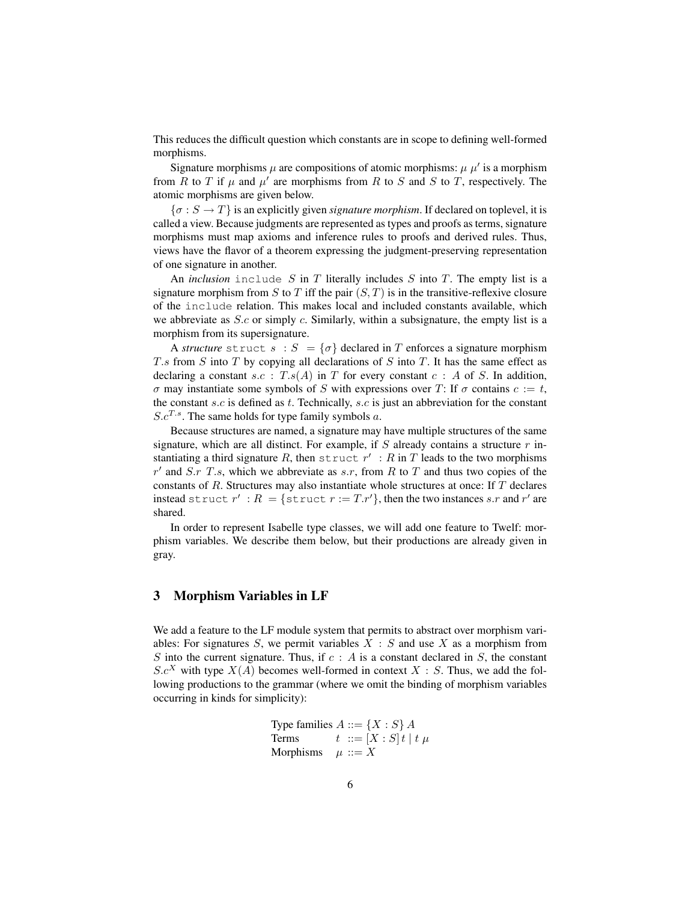This reduces the difficult question which constants are in scope to defining well-formed morphisms.

Signature morphisms  $\mu$  are compositions of atomic morphisms:  $\mu$   $\mu'$  is a morphism from R to T if  $\mu$  and  $\mu'$  are morphisms from R to S and S to T, respectively. The atomic morphisms are given below.

 $\{\sigma : S \to T\}$  is an explicitly given *signature morphism*. If declared on toplevel, it is called a view. Because judgments are represented as types and proofs as terms, signature morphisms must map axioms and inference rules to proofs and derived rules. Thus, views have the flavor of a theorem expressing the judgment-preserving representation of one signature in another.

An *inclusion* include S in T literally includes S into T. The empty list is a signature morphism from S to T iff the pair  $(S, T)$  is in the transitive-reflexive closure of the include relation. This makes local and included constants available, which we abbreviate as *S.c* or simply *c*. Similarly, within a subsignature, the empty list is a morphism from its supersignature.

A *structure* struct  $s : S = \{ \sigma \}$  declared in T enforces a signature morphism T.s from S into T by copying all declarations of S into T. It has the same effect as declaring a constant  $s.c$ :  $T.s(A)$  in T for every constant  $c : A$  of S. In addition, σ may instantiate some symbols of S with expressions over T: If σ contains  $c := t$ , the constant s.c is defined as t. Technically, s.c is just an abbreviation for the constant  $S.c^{T.s}$ . The same holds for type family symbols a.

Because structures are named, a signature may have multiple structures of the same signature, which are all distinct. For example, if  $S$  already contains a structure  $r$  instantiating a third signature R, then struct  $r' : R$  in T leads to the two morphisms  $r'$  and S.r T.s, which we abbreviate as s.r, from R to T and thus two copies of the constants of R. Structures may also instantiate whole structures at once: If T declares instead struct  $r' : R = \{ \text{struct } r := Tr' \}$ , then the two instances s.r and r' are shared.

In order to represent Isabelle type classes, we will add one feature to Twelf: morphism variables. We describe them below, but their productions are already given in gray.

# <span id="page-5-0"></span>3 Morphism Variables in LF

We add a feature to the LF module system that permits to abstract over morphism variables: For signatures  $S$ , we permit variables  $X : S$  and use  $X$  as a morphism from S into the current signature. Thus, if  $c : A$  is a constant declared in S, the constant  $S.c<sup>X</sup>$  with type  $X(A)$  becomes well-formed in context  $X : S$ . Thus, we add the following productions to the grammar (where we omit the binding of morphism variables occurring in kinds for simplicity):

> Type families  $A ::= \{X : S\}$  A Terms  $t := [X : S]t | t \mu$ Morphisms  $\mu ::= X$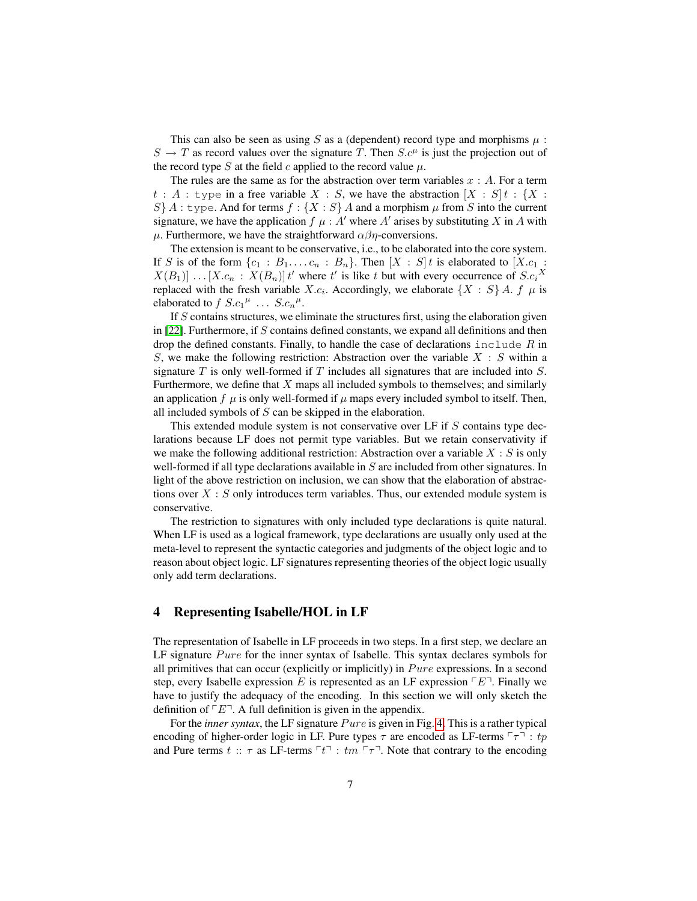This can also be seen as using S as a (dependent) record type and morphisms  $\mu$ :  $S \to T$  as record values over the signature T. Then  $S_c^{\mu}$  is just the projection out of the record type S at the field c applied to the record value  $\mu$ .

The rules are the same as for the abstraction over term variables  $x : A$ . For a term  $t : A :$  type in a free variable  $X : S$ , we have the abstraction  $[X : S]$   $t : \{X : S\}$  $S$  A : type. And for terms  $f : \{X : S\}$  A and a morphism  $\mu$  from S into the current signature, we have the application  $f \mu : A'$  where  $A'$  arises by substituting X in A with  $\mu$ . Furthermore, we have the straightforward  $\alpha\beta\eta$ -conversions.

The extension is meant to be conservative, i.e., to be elaborated into the core system. If S is of the form  $\{c_1 : B_1, \ldots, c_n : B_n\}$ . Then  $[X : S]$  is elaborated to  $[X.c_1 :$  $X(B_1)] \dots [X.c_n : X(B_n)]$  t' where t' is like t but with every occurrence of  $S.c_i$ <sup>X</sup> replaced with the fresh variable X.c<sub>i</sub>. Accordingly, we elaborate  $\{X : S\}$  A. f  $\mu$  is elaborated to  $f S.c_1{}^{\mu} \ldots S.c_n{}^{\mu}$ .

If S contains structures, we eliminate the structures first, using the elaboration given in  $[22]$ . Furthermore, if S contains defined constants, we expand all definitions and then drop the defined constants. Finally, to handle the case of declarations include  $R$  in S, we make the following restriction: Abstraction over the variable  $X : S$  within a signature  $T$  is only well-formed if  $T$  includes all signatures that are included into  $S$ . Furthermore, we define that X maps all included symbols to themselves; and similarly an application f  $\mu$  is only well-formed if  $\mu$  maps every included symbol to itself. Then, all included symbols of S can be skipped in the elaboration.

This extended module system is not conservative over LF if S contains type declarations because LF does not permit type variables. But we retain conservativity if we make the following additional restriction: Abstraction over a variable  $X : S$  is only well-formed if all type declarations available in  $S$  are included from other signatures. In light of the above restriction on inclusion, we can show that the elaboration of abstractions over  $X : S$  only introduces term variables. Thus, our extended module system is conservative.

The restriction to signatures with only included type declarations is quite natural. When LF is used as a logical framework, type declarations are usually only used at the meta-level to represent the syntactic categories and judgments of the object logic and to reason about object logic. LF signatures representing theories of the object logic usually only add term declarations.

# <span id="page-6-0"></span>4 Representing Isabelle/HOL in LF

The representation of Isabelle in LF proceeds in two steps. In a first step, we declare an LF signature  $Pure$  for the inner syntax of Isabelle. This syntax declares symbols for all primitives that can occur (explicitly or implicitly) in  $P$ ure expressions. In a second step, every Isabelle expression E is represented as an LF expression  $\ulcorner E \urcorner$ . Finally we have to justify the adequacy of the encoding. In this section we will only sketch the definition of  $\ulcorner E \urcorner$ . A full definition is given in the appendix.

For the *inner syntax*, the LF signature *Pure* is given in Fig. [4.](#page-6-0) This is a rather typical encoding of higher-order logic in LF. Pure types  $\tau$  are encoded as LF-terms  $\lceil \tau \rceil : tp$ and Pure terms  $t :: \tau$  as LF-terms  $\lceil t \rceil : tm \rceil \tau \rceil$ . Note that contrary to the encoding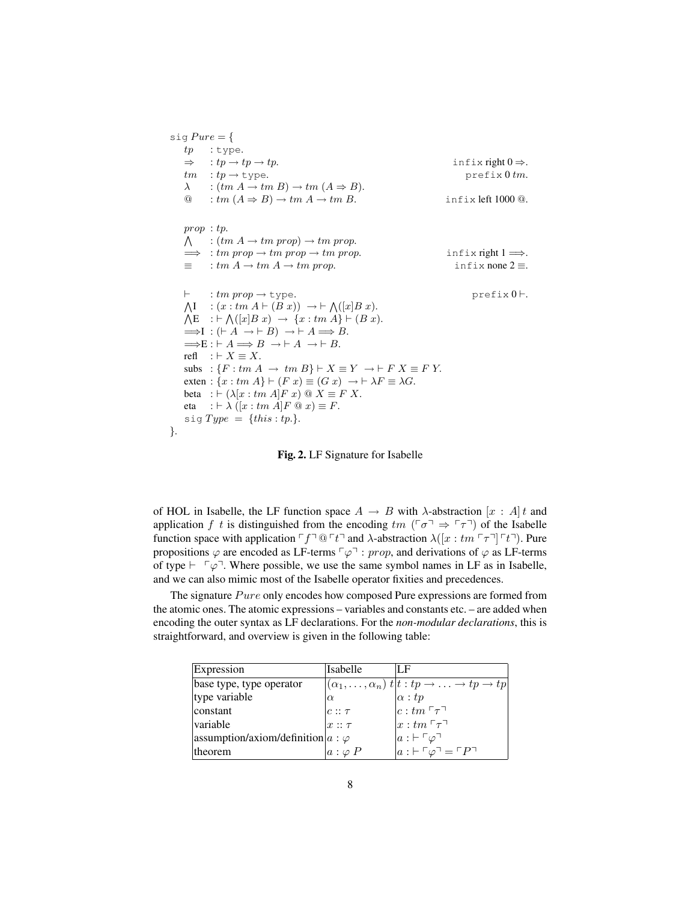```
sig Pure = \{tp : type.
    \Rightarrow : tp \rightarrow tp.<br>infix right 0 \Rightarrow.
   tm : tp \rightarrow type. prefix 0 tm.
    \lambda : (tm A \rightarrow tm B) \rightarrow tm (A \Rightarrow B).\textcircled{a} : tm(A \Rightarrow B) \rightarrow tm(A \rightarrow tmB). infix left 1000 \textcircled{a}.
    prop : tp. \wedge: (tm A \rightarrow tm prop) \rightarrow tm prop.\implies : tm prop \rightarrow tm prop \rightarrow tm prop. infix right 1 \implies.
    \equiv : tm A \rightarrow tm A \rightarrow tm prop. infix none 2 \equiv.
    \vdash : tm prop \rightarrow type. prefix 0 \vdash.
    \LambdaI
       I : (x : tm A \vdash (B x)) \rightarrow \vdash \bigwedge ([x] B x).\bigwedge \mathsf{E} \quad : \vdash \bigwedge ([x|B \ x) \rightarrow \{x : tm \ A\} \vdash (B \ x).\LongrightarrowI : (\vdash A \rightarrow \vdash B) \rightarrow \vdash A \Longrightarrow B.
    \LongrightarrowE : \vdash A \Longrightarrow B \rightarrow \vdash A \rightarrow \vdash B.
    refl : \vdash X \equiv X.
    subs : \{F : tm A \rightarrow tm B\} \vdash X \equiv Y \rightarrow \vdash F X \equiv F Y.
    exten : \{x : tm A\} \vdash (F x) \equiv (G x) \rightarrow \vdash \lambda F \equiv \lambda G.beta : \vdash (\lambda [x : tm A]F x) \ @ \ X \equiv F X.eta : \vdash \lambda ([x : tm A]F \tQ x) \equiv F.sig Type = \{this : tp. \}.}.
```
Fig. 2. LF Signature for Isabelle

of HOL in Isabelle, the LF function space  $A \rightarrow B$  with  $\lambda$ -abstraction  $[x : A]t$  and application f t is distinguished from the encoding  $tm$  ( $\sigma$ )  $\Rightarrow$   $\sigma$ ) of the Isabelle function space with application  $\ulcorner f \urcorner @ \ulcorner t \urcorner$  and  $\lambda$ -abstraction  $\lambda([x : tm \ulcorner \tau \urcorner] \ulcorner t \urcorner)$ . Pure propositions  $\varphi$  are encoded as LF-terms  $\lceil \varphi \rceil$  : prop, and derivations of  $\varphi$  as LF-terms of type  $\vdash \ulcorner \varphi \urcorner$ . Where possible, we use the same symbol names in LF as in Isabelle, and we can also mimic most of the Isabelle operator fixities and precedences.

The signature  $P$ ure only encodes how composed Pure expressions are formed from the atomic ones. The atomic expressions – variables and constants etc. – are added when encoding the outer syntax as LF declarations. For the *non-modular declarations*, this is straightforward, and overview is given in the following table:

| Expression                                 | Isabelle      | LF                                                                                                      |
|--------------------------------------------|---------------|---------------------------------------------------------------------------------------------------------|
| base type, type operator                   |               | $ (\alpha_1,\ldots,\alpha_n) t t: tp \to \ldots \to tp \to tp$                                          |
| type variable                              | $\alpha$      | $\begin{vmatrix} \alpha : tp \\ c : tm\ {}^r\tau \urcorner \\ x : tm\ {}^r\tau \urcorner \end{vmatrix}$ |
| constant                                   | $c::\tau$     |                                                                                                         |
| variable                                   | $x :: \tau$   |                                                                                                         |
| assumption/axiom/definition  $a : \varphi$ |               | $a : F \varphi$<br>$a : F \varphi$<br>$a : F \varphi$                                                   |
| theorem                                    | $a:\varphi P$ |                                                                                                         |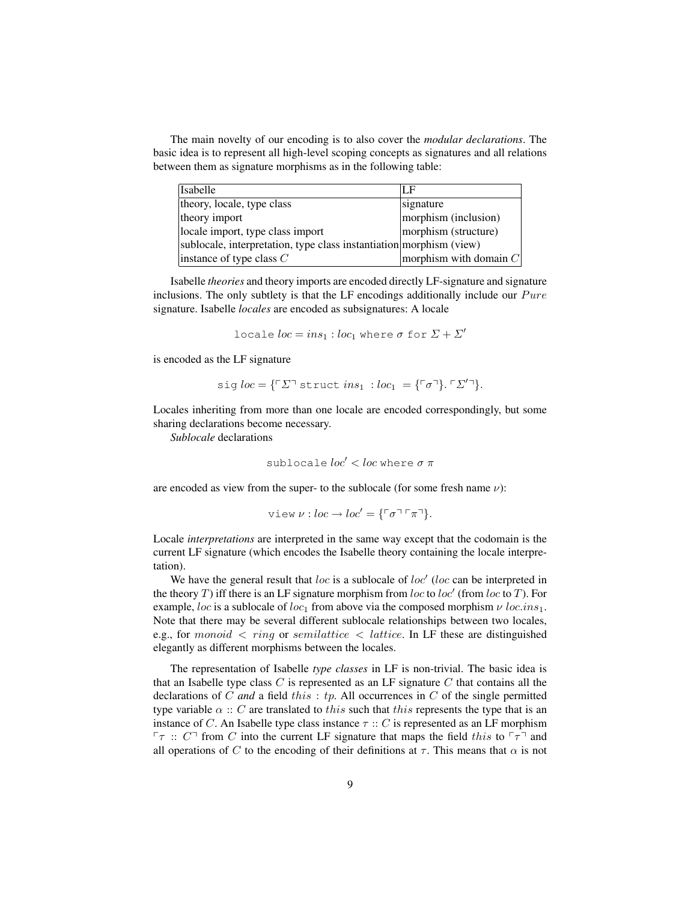The main novelty of our encoding is to also cover the *modular declarations*. The basic idea is to represent all high-level scoping concepts as signatures and all relations between them as signature morphisms as in the following table:

| <b>Isabelle</b>                                                     | LF                       |
|---------------------------------------------------------------------|--------------------------|
| theory, locale, type class                                          | signature                |
| theory import                                                       | morphism (inclusion)     |
| locale import, type class import                                    | morphism (structure)     |
| sublocale, interpretation, type class instantiation morphism (view) |                          |
| instance of type class $C$                                          | morphism with domain $C$ |

Isabelle *theories* and theory imports are encoded directly LF-signature and signature inclusions. The only subtlety is that the LF encodings additionally include our  $P$ ure signature. Isabelle *locales* are encoded as subsignatures: A locale

$$
locale loc = ins_1 : loc_1 where \sigma for \Sigma + \Sigma'
$$

is encoded as the LF signature

$$
sig loc = {\ulcorner \Sigma \urcorner \text{struct} \text{ ins}_1 : loc_1 = {\ulcorner \sigma \urcorner}. \ulcorner \Sigma' \urcorner}.
$$

Locales inheriting from more than one locale are encoded correspondingly, but some sharing declarations become necessary.

*Sublocale* declarations

$$
\mathtt{sublocale}\ \mathit{loc}' < \mathit{loc}\ \mathtt{where}\ \sigma\ \pi
$$

are encoded as view from the super- to the sublocale (for some fresh name  $\nu$ ):

view 
$$
\nu : loc \to loc' = {\ulcorner \sigma \urcorner \ulcorner \pi \urcorner}.
$$

Locale *interpretations* are interpreted in the same way except that the codomain is the current LF signature (which encodes the Isabelle theory containing the locale interpretation).

We have the general result that  $loc$  is a sublocale of  $loc'$  (loc can be interpreted in the theory T) iff there is an LF signature morphism from loc to loc' (from loc to T). For example, loc is a sublocale of loc<sub>1</sub> from above via the composed morphism  $\nu$  loc.ins<sub>1</sub>. Note that there may be several different sublocale relationships between two locales, e.g., for monoid  $\langle$  ring or semilattice  $\langle$  lattice. In LF these are distinguished elegantly as different morphisms between the locales.

The representation of Isabelle *type classes* in LF is non-trivial. The basic idea is that an Isabelle type class  $C$  is represented as an LF signature  $C$  that contains all the declarations of C *and* a field this : tp. All occurrences in C of the single permitted type variable  $\alpha :: C$  are translated to this such that this represents the type that is an instance of C. An Isabelle type class instance  $\tau$  :: C is represented as an LF morphism  $\lceil \tau \rceil$ : C<sup> $\lceil$ </sup> from C into the current LF signature that maps the field this to  $\lceil \tau \rceil$  and all operations of C to the encoding of their definitions at  $\tau$ . This means that  $\alpha$  is not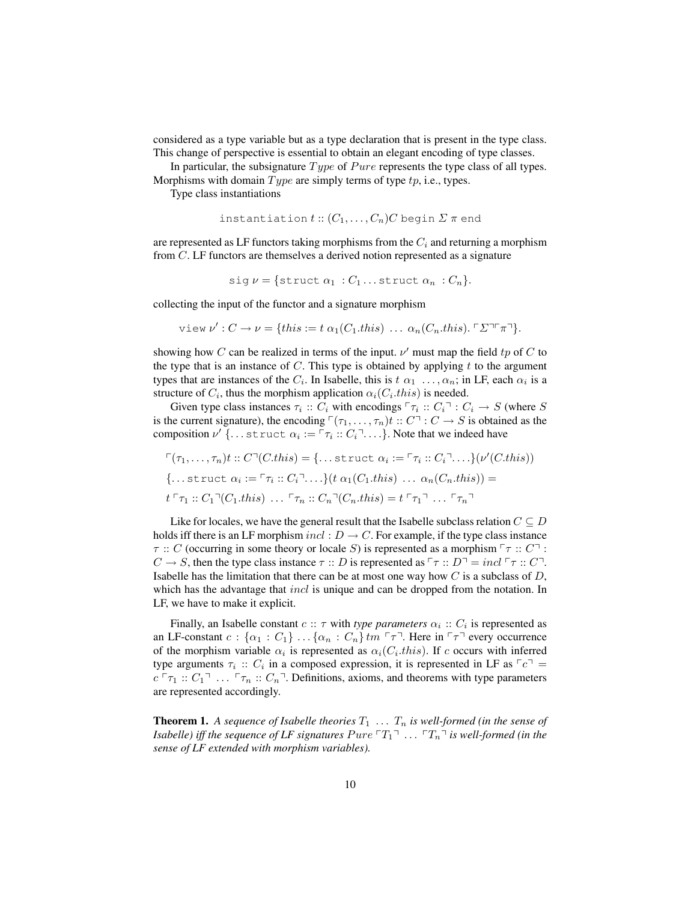considered as a type variable but as a type declaration that is present in the type class. This change of perspective is essential to obtain an elegant encoding of type classes.

In particular, the subsignature  $Type$  of  $Pure$  represents the type class of all types. Morphisms with domain  $Type$  are simply terms of type  $tp$ , i.e., types.

Type class instantiations

$$
instantiation t :: (C_1, \ldots, C_n) C \text{ begin } \Sigma \pi \text{ end}
$$

are represented as LF functors taking morphisms from the  $C_i$  and returning a morphism from C. LF functors are themselves a derived notion represented as a signature

$$
sig \nu = \{struct \alpha_1 : C_1 \dots struct \alpha_n : C_n \}.
$$

collecting the input of the functor and a signature morphism

view 
$$
\nu' : C \to \nu = \{this := t \alpha_1(C_1, this) \dots \alpha_n(C_n, this) \cdot \Gamma \Sigma \top \pi \top \}.
$$

showing how C can be realized in terms of the input.  $\nu'$  must map the field tp of C to the type that is an instance of  $C$ . This type is obtained by applying t to the argument types that are instances of the  $C_i$ . In Isabelle, this is  $t \alpha_1 \dots, \alpha_n$ ; in LF, each  $\alpha_i$  is a structure of  $C_i$ , thus the morphism application  $\alpha_i(C_i, this)$  is needed.

Given type class instances  $\tau_i :: C_i$  with encodings  $\lceil \tau_i :: C_i \rceil : C_i \to S$  (where S is the current signature), the encoding  $\ulcorner(\tau_1,\ldots,\tau_n)t :: C \urcorner : C \to S$  is obtained as the composition  $\nu'$  {... struct  $\alpha_i := \lceil \tau_i : C_i \rceil \dots$ }. Note that we indeed have

$$
\begin{aligned}\n\Gamma(\tau_1, \ldots, \tau_n)t :: C \Gamma(C. this) &= \{ \ldots \text{struct } \alpha_i := \Gamma \tau_i :: C_i \Gamma \ldots \} (\nu'(C. this)) \\
\{\ldots \text{struct } \alpha_i := \Gamma \tau_i :: C_i \Gamma \ldots \} (t \alpha_1(C_1. this) \ldots \alpha_n(C_n. this)) &= \\
t \Gamma \tau_1 :: C_1 \Gamma(C_1. this) \ldots \Gamma \tau_n :: C_n \Gamma(C_n. this) &= t \Gamma \tau_1 \Gamma \ldots \Gamma \tau_n \Gamma\n\end{aligned}
$$

Like for locales, we have the general result that the Isabelle subclass relation  $C \subseteq D$ holds iff there is an LF morphism  $incl: D \to C$ . For example, if the type class instance  $\tau :: C$  (occurring in some theory or locale S) is represented as a morphism  $\lceil \tau :: C \rceil$ :  $C \to S$ , then the type class instance  $\tau :: D$  is represented as  $\lceil \tau :: D \rceil = incl \lceil \tau :: C \rceil$ . Isabelle has the limitation that there can be at most one way how  $C$  is a subclass of  $D$ , which has the advantage that *incl* is unique and can be dropped from the notation. In LF, we have to make it explicit.

Finally, an Isabelle constant  $c :: \tau$  with *type parameters*  $\alpha_i :: C_i$  is represented as an LF-constant  $c : \{\alpha_1 : C_1\} \dots \{\alpha_n : C_n\}$  tm  $\lceil \tau \rceil$ . Here in  $\lceil \tau \rceil$  every occurrence of the morphism variable  $\alpha_i$  is represented as  $\alpha_i(C_i, this)$ . If c occurs with inferred type arguments  $\tau_i :: C_i$  in a composed expression, it is represented in LF as  $\lceil c \rceil =$  $c \rceil \tau_1 :: C_1 \rceil \ldots \rceil \tau_n :: C_n \rceil$ . Definitions, axioms, and theorems with type parameters are represented accordingly.

**Theorem 1.** A sequence of Isabelle theories  $T_1$  ...  $T_n$  is well-formed (in the sense of *Isabelle) iff the sequence of LF signatures*  $P$ *ure*  $T_1$ <sup> $\ldots$ </sup>  $T_n$ <sup> $\ldots$ </sup> *is well-formed (in the sense of LF extended with morphism variables).*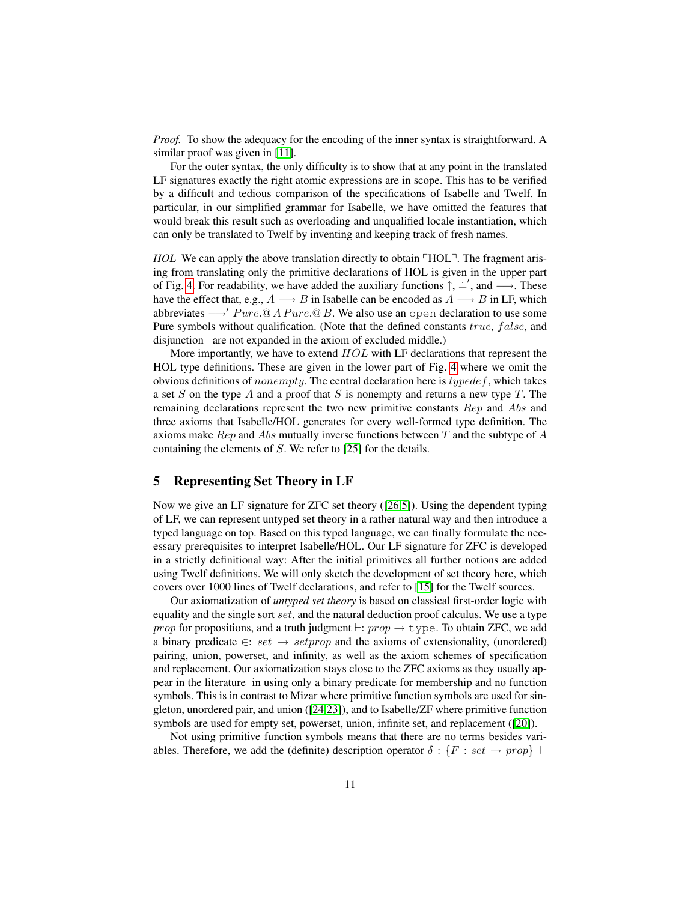*Proof.* To show the adequacy for the encoding of the inner syntax is straightforward. A similar proof was given in [\[11\]](#page-15-5).

For the outer syntax, the only difficulty is to show that at any point in the translated LF signatures exactly the right atomic expressions are in scope. This has to be verified by a difficult and tedious comparison of the specifications of Isabelle and Twelf. In particular, in our simplified grammar for Isabelle, we have omitted the features that would break this result such as overloading and unqualified locale instantiation, which can only be translated to Twelf by inventing and keeping track of fresh names.

<span id="page-10-1"></span>*HOL* We can apply the above translation directly to obtain  $\ulcorner HOL \urcorner$ . The fragment arising from translating only the primitive declarations of HOL is given in the upper part of Fig. [4.](#page-10-1) For readability, we have added the auxiliary functions  $\hat{\uparrow}$ ,  $\hat{=}$ , and  $\rightarrow$ . These have the effect that, e.g.,  $A \longrightarrow B$  in Isabelle can be encoded as  $A \longrightarrow B$  in LF, which abbreviates  $\rightarrow'$  Pure.@ A Pure.@ B. We also use an open declaration to use some Pure symbols without qualification. (Note that the defined constants true, false, and disjunction | are not expanded in the axiom of excluded middle.)

More importantly, we have to extend  $HOL$  with LF declarations that represent the HOL type definitions. These are given in the lower part of Fig. [4](#page-10-1) where we omit the obvious definitions of *nonempty*. The central declaration here is  $typedef$ , which takes a set  $S$  on the type  $A$  and a proof that  $S$  is nonempty and returns a new type  $T$ . The remaining declarations represent the two new primitive constants Rep and Abs and three axioms that Isabelle/HOL generates for every well-formed type definition. The axioms make  $Rep$  and Abs mutually inverse functions between T and the subtype of A containing the elements of S. We refer to [\[25\]](#page-15-13) for the details.

## <span id="page-10-0"></span>5 Representing Set Theory in LF

Now we give an LF signature for ZFC set theory ([\[26,](#page-15-4)[5\]](#page-14-5)). Using the dependent typing of LF, we can represent untyped set theory in a rather natural way and then introduce a typed language on top. Based on this typed language, we can finally formulate the necessary prerequisites to interpret Isabelle/HOL. Our LF signature for ZFC is developed in a strictly definitional way: After the initial primitives all further notions are added using Twelf definitions. We will only sketch the development of set theory here, which covers over 1000 lines of Twelf declarations, and refer to [\[15\]](#page-15-8) for the Twelf sources.

Our axiomatization of *untyped set theory* is based on classical first-order logic with equality and the single sort set, and the natural deduction proof calculus. We use a type prop for propositions, and a truth judgment  $\vdash: prop \rightarrow type$ . To obtain ZFC, we add a binary predicate  $\in$ : set  $\rightarrow$  setprop and the axioms of extensionality, (unordered) pairing, union, powerset, and infinity, as well as the axiom schemes of specification and replacement. Our axiomatization stays close to the ZFC axioms as they usually appear in the literature in using only a binary predicate for membership and no function symbols. This is in contrast to Mizar where primitive function symbols are used for singleton, unordered pair, and union ([\[24,](#page-15-1)[23\]](#page-15-14)), and to Isabelle/ZF where primitive function symbols are used for empty set, powerset, union, infinite set, and replacement ([\[20\]](#page-15-2)).

Not using primitive function symbols means that there are no terms besides variables. Therefore, we add the (definite) description operator  $\delta : \{F : set \rightarrow prop\}$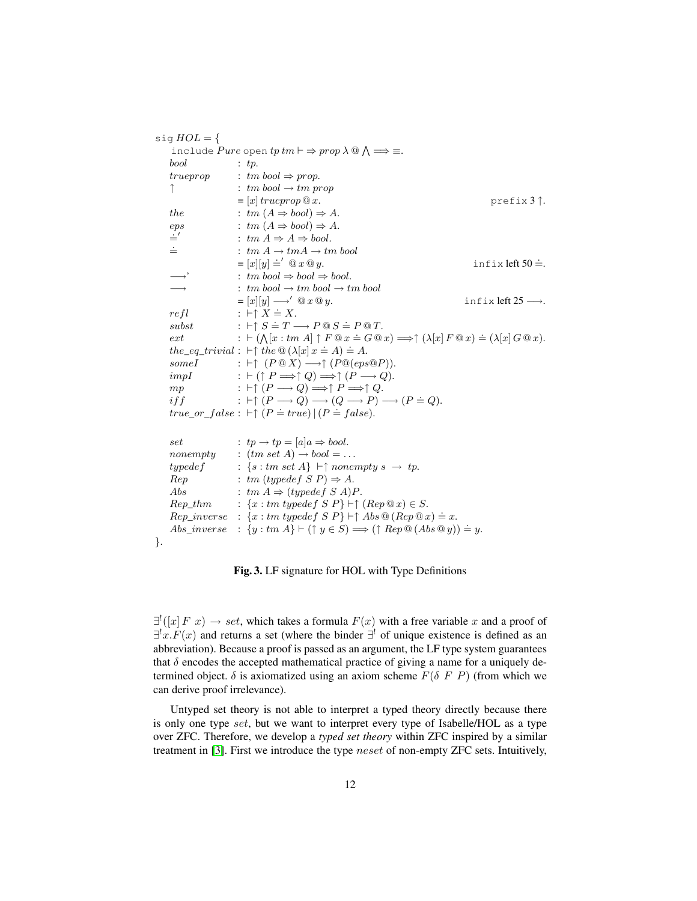| sig $HOL = \{$                         |                                                                                                                                        |                               |
|----------------------------------------|----------------------------------------------------------------------------------------------------------------------------------------|-------------------------------|
|                                        | include <i>Pure</i> open $tp \, tm \vdash \Rightarrow prop \, \lambda \, @ \wedge \Rightarrow \equiv.$                                 |                               |
| bool                                   | : $tp.$                                                                                                                                |                               |
|                                        | trueprop : tm bool $\Rightarrow$ prop.                                                                                                 |                               |
| ↑                                      | : tm bool $\rightarrow$ tm prop                                                                                                        |                               |
|                                        | $= [x] true prop @ x.$                                                                                                                 | $prefix 3$ $\hat{ }$ .        |
| the                                    | : $tm(A \Rightarrow bool) \Rightarrow A$ .                                                                                             |                               |
| eps                                    | : $tm(A \Rightarrow bool) \Rightarrow A$ .                                                                                             |                               |
| $\stackrel{.}{=}$<br>$\stackrel{.}{=}$ | : $tm A \Rightarrow A \Rightarrow bool.$                                                                                               |                               |
|                                        | : $tm A \rightarrow tm A \rightarrow tm$ bool                                                                                          |                               |
|                                        | $=[x][y] \doteq' \mathbb{Q} x \mathbb{Q} y.$                                                                                           | infix left $50 \doteq$ .      |
| $\rightarrow$                          | : tm bool $\Rightarrow$ bool $\Rightarrow$ bool.                                                                                       |                               |
| $\longrightarrow$                      | : tm bool $\rightarrow$ tm bool $\rightarrow$ tm bool                                                                                  |                               |
|                                        | $= [x][y] \longrightarrow' @ x @ y.$                                                                                                   | infix left $25 \rightarrow$ . |
| refl                                   | : $\vdash \uparrow X \doteq X$ .                                                                                                       |                               |
| subst                                  |                                                                                                                                        |                               |
| ext                                    | : $\vdash (\bigwedge [x : tm A] \uparrow F @ x \doteq G @ x) \Longrightarrow \uparrow (\lambda [x] F @ x) \doteq (\lambda [x] G @ x).$ |                               |
|                                        | the_eq_trivial : $\vdash \uparrow$ the $\mathcal{Q}(\lambda[x] x \doteq A) \doteq A$ .                                                 |                               |
| some I                                 | : $\vdash \uparrow (P \tQ X) \longrightarrow \uparrow (P \tQ(eps \tQ P)).$                                                             |                               |
| impI                                   | : $\vdash (\uparrow P \Longrightarrow \uparrow Q) \Longrightarrow \uparrow (P \longrightarrow Q).$                                     |                               |
| mp                                     | : $\vdash \uparrow (P \longrightarrow Q) \Longrightarrow \uparrow P \Longrightarrow \uparrow Q.$                                       |                               |
| if f                                   | : $\vdash \uparrow (P \longrightarrow Q) \longrightarrow (Q \longrightarrow P) \longrightarrow (P \doteq Q).$                          |                               |
|                                        | true_or_false : $\vdash \uparrow (P \doteq true)   (P \doteq false).$                                                                  |                               |
|                                        |                                                                                                                                        |                               |
| set                                    | : $tp \rightarrow tp = [a]a \Rightarrow bool.$                                                                                         |                               |
|                                        | nonempty : $(tm set A) \rightarrow bool = $                                                                                            |                               |
|                                        | typedef : $\{s : tm \text{ set } A\} \vdash \uparrow \text{nonempty } s \rightarrow tp.$                                               |                               |
| Rep                                    | : tm (typedef S P) $\Rightarrow$ A.                                                                                                    |                               |
| Abs                                    | : tm $A \Rightarrow (typedef S A)P$ .                                                                                                  |                               |
|                                        | $Rep\_thm$ : $\{x : tm \{ypedef\} \in \cap \ (Rep @x) \in S.\}$                                                                        |                               |
|                                        | $Rep\_inverse$ : $\{x : tm\ type def S \ P\} \vdash \uparrow Abs \ @ (Rep @ x) \doteq x.$                                              |                               |
| $Abs\_inverse$                         | : $\{y : tm A\} \vdash (\uparrow y \in S) \Longrightarrow (\uparrow Rep \mathbb{Q} (Abs \mathbb{Q} y)) \doteq y.$                      |                               |
|                                        |                                                                                                                                        |                               |

}.

Fig. 3. LF signature for HOL with Type Definitions

 $\exists^{!}([x] \, F \, x) \rightarrow set$ , which takes a formula  $F(x)$  with a free variable x and a proof of  $\exists^{!} x.F(x)$  and returns a set (where the binder  $\exists^{!}$  of unique existence is defined as an abbreviation). Because a proof is passed as an argument, the LF type system guarantees that  $\delta$  encodes the accepted mathematical practice of giving a name for a uniquely determined object.  $\delta$  is axiomatized using an axiom scheme  $F(\delta F P)$  (from which we can derive proof irrelevance).

Untyped set theory is not able to interpret a typed theory directly because there is only one type set, but we want to interpret every type of Isabelle/HOL as a type over ZFC. Therefore, we develop a *typed set theory* within ZFC inspired by a similar treatment in [\[3\]](#page-14-9). First we introduce the type neset of non-empty ZFC sets. Intuitively,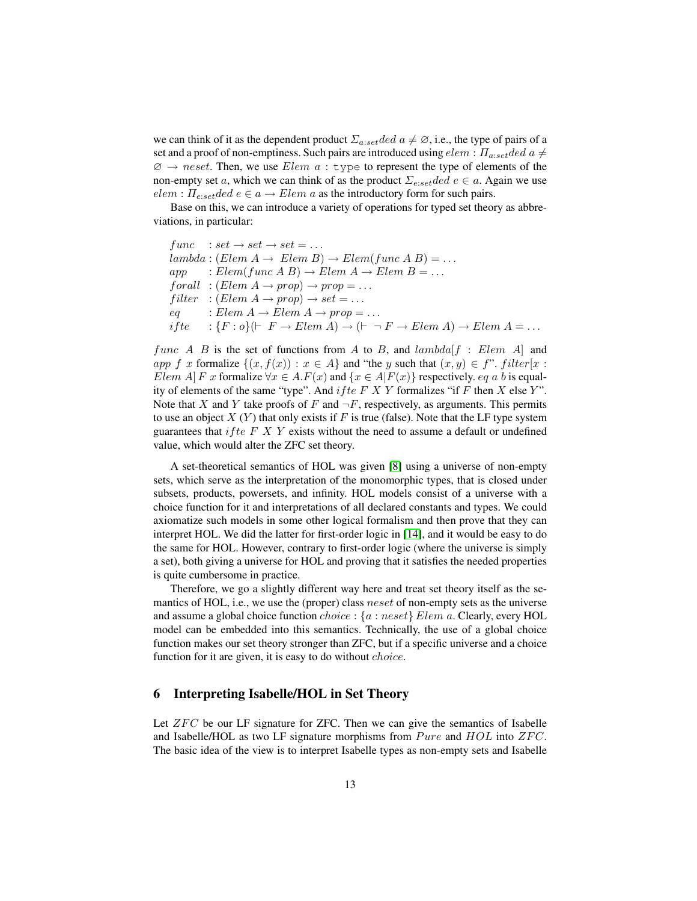we can think of it as the dependent product  $\Sigma_{a:set}$  ded  $a \neq \emptyset$ , i.e., the type of pairs of a set and a proof of non-emptiness. Such pairs are introduced using  $elem : \Pi_{a:set}$  ded  $a \neq$  $\emptyset \rightarrow neset$ . Then, we use *Elem a* : type to represent the type of elements of the non-empty set a, which we can think of as the product  $\Sigma_{e:set}$  ded  $e \in a$ . Again we use  $elem : \Pi_{e:set} ded \ e \in a \rightarrow Element \ a$  as the introductory form for such pairs.

Base on this, we can introduce a variety of operations for typed set theory as abbreviations, in particular:

 $func : set \rightarrow set \rightarrow set = ...$  $lambda : (Elem A \rightarrow Elem B) \rightarrow Elem(func A B) = ...$  $app$  : Elem(func A B)  $\rightarrow$  Elem A  $\rightarrow$  Elem B = ...  $for all : (Elem A \rightarrow prop) \rightarrow prop = ...$ filter :  $(Elem A \rightarrow prop) \rightarrow set = ...$  $eq$  : Elem  $A \rightarrow$  Elem  $A \rightarrow prop = \dots$ ifte  $:\{F : o\}(\vdash F \to \text{Elem } A) \to (\vdash \neg F \to \text{Elem } A) \to \text{Elem } A = \dots$ 

func A B is the set of functions from A to B, and  $lambda[f : Element]$  and app f x formalize  $\{(x, f(x)) : x \in A\}$  and "the y such that  $(x, y) \in f$ ". filter $[x :$ Elem A $\vert F x$  formalize  $\forall x \in A$ .  $F(x)$  and  $\{x \in A \vert F(x)\}\$ respectively. eq a b is equality of elements of the same "type". And if the F X Y formalizes "if F then X else Y". Note that X and Y take proofs of F and  $\neg F$ , respectively, as arguments. This permits to use an object  $X(Y)$  that only exists if F is true (false). Note that the LF type system guarantees that *if te F X Y* exists without the need to assume a default or undefined value, which would alter the ZFC set theory.

A set-theoretical semantics of HOL was given [\[8\]](#page-14-7) using a universe of non-empty sets, which serve as the interpretation of the monomorphic types, that is closed under subsets, products, powersets, and infinity. HOL models consist of a universe with a choice function for it and interpretations of all declared constants and types. We could axiomatize such models in some other logical formalism and then prove that they can interpret HOL. We did the latter for first-order logic in [\[14\]](#page-15-15), and it would be easy to do the same for HOL. However, contrary to first-order logic (where the universe is simply a set), both giving a universe for HOL and proving that it satisfies the needed properties is quite cumbersome in practice.

Therefore, we go a slightly different way here and treat set theory itself as the semantics of HOL, i.e., we use the (proper) class *neset* of non-empty sets as the universe and assume a global choice function *choice* :  $\{a : n \in \mathbb{R} \mid \text{Element}\}$  a. Clearly, every HOL model can be embedded into this semantics. Technically, the use of a global choice function makes our set theory stronger than ZFC, but if a specific universe and a choice function for it are given, it is easy to do without *choice*.

#### <span id="page-12-0"></span>6 Interpreting Isabelle/HOL in Set Theory

Let  $ZFC$  be our LF signature for ZFC. Then we can give the semantics of Isabelle and Isabelle/HOL as two LF signature morphisms from  $P$ ure and  $HOL$  into  $ZFC$ . The basic idea of the view is to interpret Isabelle types as non-empty sets and Isabelle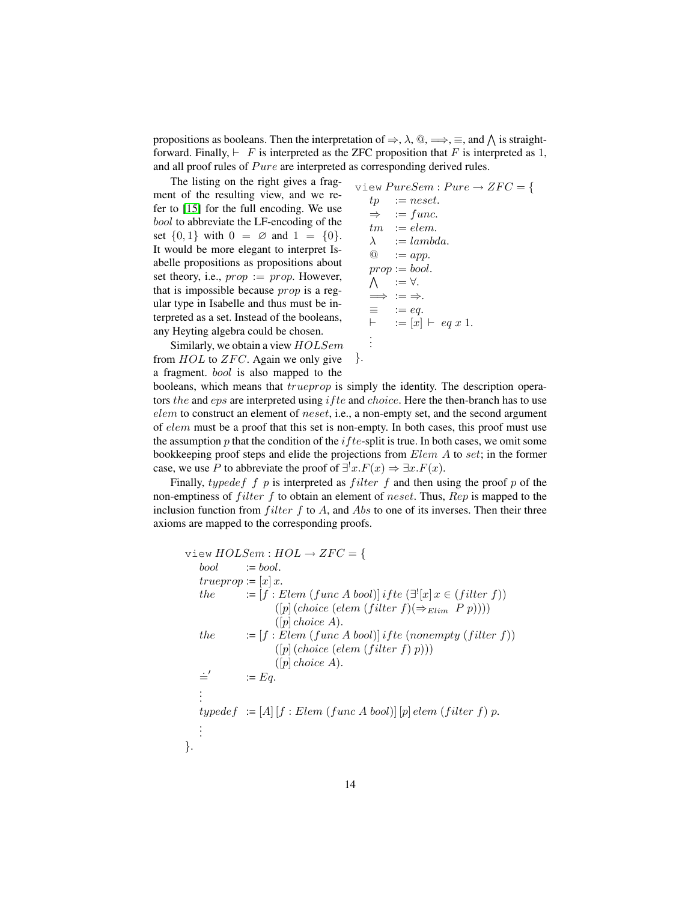propositions as booleans. Then the interpretation of  $\Rightarrow$ ,  $\lambda$ ,  $\omega$ ,  $\Longrightarrow$ ,  $\equiv$ , and  $\Lambda$  is straightforward. Finally,  $\vdash$  F is interpreted as the ZFC proposition that F is interpreted as 1, and all proof rules of  $Pure$  are interpreted as corresponding derived rules.

The listing on the right gives a fragment of the resulting view, and we refer to [\[15\]](#page-15-8) for the full encoding. We use bool to abbreviate the LF-encoding of the set  $\{0, 1\}$  with  $0 = \emptyset$  and  $1 = \{0\}.$ It would be more elegant to interpret Isabelle propositions as propositions about set theory, i.e.,  $prop := prop$ . However, that is impossible because prop is a regular type in Isabelle and thus must be interpreted as a set. Instead of the booleans, any Heyting algebra could be chosen.

$$
riew\,PureSem : Pure \rightarrow ZFC = \{
$$
  
\n
$$
tp := neset.
$$
  
\n
$$
\Rightarrow := func.
$$
  
\n
$$
tm := elem.
$$
  
\n
$$
\lambda := lambda.
$$
  
\n
$$
@ := app.
$$
  
\n
$$
prop := bool.
$$
  
\n
$$
\wedge := \forall.
$$
  
\n
$$
\Rightarrow := eq.
$$
  
\n
$$
= [x] \vdash eq x 1.
$$
  
\n
$$
\vdots
$$

Similarly, we obtain a view HOLSem from  $HOL$  to  $ZFC$ . Again we only give a fragment. bool is also mapped to the

booleans, which means that trueprop is simply the identity. The description operators the and  $eps$  are interpreted using  $ifte$  and  $choice$ . Here the then-branch has to use elem to construct an element of neset, i.e., a non-empty set, and the second argument of elem must be a proof that this set is non-empty. In both cases, this proof must use the assumption p that the condition of the *i* f te-split is true. In both cases, we omit some bookkeeping proof steps and elide the projections from Elem A to set; in the former case, we use P to abbreviate the proof of  $\exists^{!} x.F(x) \Rightarrow \exists x.F(x)$ .

}.

Finally, typedef f p is interpreted as filter f and then using the proof p of the non-emptiness of *filter* f to obtain an element of *neset*. Thus,  $Rep$  is mapped to the inclusion function from *filter f* to A, and Abs to one of its inverses. Then their three axioms are mapped to the corresponding proofs.

view  $HOLSem : HOL \rightarrow ZFC = \{$  $bool \qquad := bool.$ trueprop :=  $[x]$  x. the  $:= [f : Element \; (func \; A \; bool)] \; if \; te \; (\exists^! [x] \; x \in (filter \; f))$  $([p] (choice (elem (filter f)(\Rightarrow_{Elim} P p))))$  $([p] choice A).$ the  $:= [f : Element \; (func \; A \; bool)] \; if the \; (nonempty \; (filter \; f))$  $([p] (choice (elem (filter f) p)))$  $([p] choice A).$  $\dot{=}$ :=  $Eq.$ . . .  $typedef := [A] [f : Element (func A bool)] [p] elem (filter f) p.$ . . . }.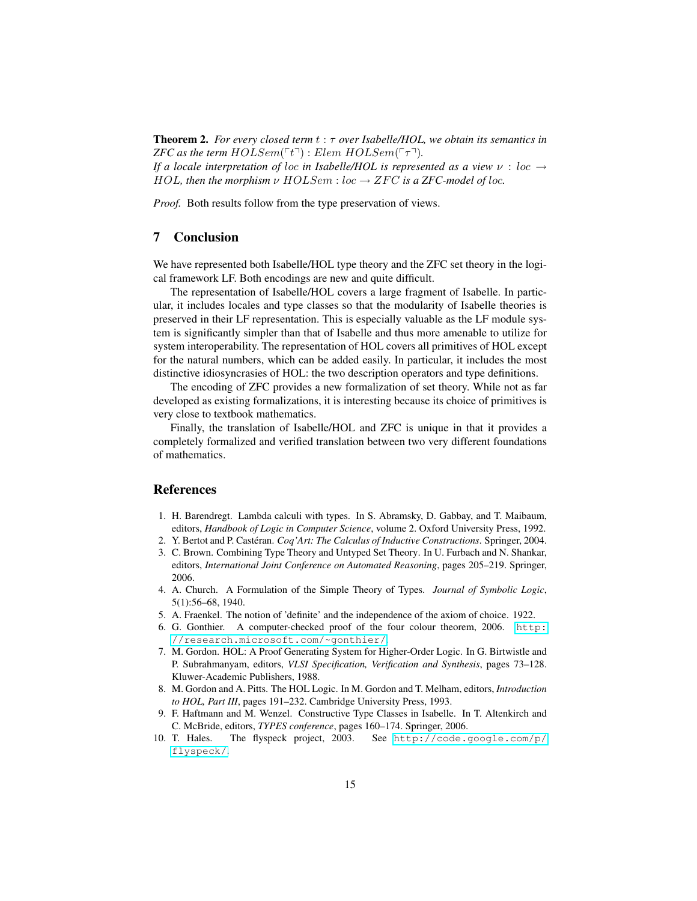Theorem 2. *For every closed term* t : τ *over Isabelle/HOL, we obtain its semantics in ZFC as the term HOLSem*( $\lceil t \rceil$ ) : *Elem HOLSem*( $\lceil \tau \rceil$ ). *If a locale interpretation of loc in Isabelle/HOL is represented as a view*  $\nu : loc \rightarrow$ 

HOL, then the morphism  $\nu$  HOLSem : loc  $\rightarrow$  ZFC is a ZFC-model of loc.

*Proof.* Both results follow from the type preservation of views.

# 7 Conclusion

We have represented both Isabelle/HOL type theory and the ZFC set theory in the logical framework LF. Both encodings are new and quite difficult.

The representation of Isabelle/HOL covers a large fragment of Isabelle. In particular, it includes locales and type classes so that the modularity of Isabelle theories is preserved in their LF representation. This is especially valuable as the LF module system is significantly simpler than that of Isabelle and thus more amenable to utilize for system interoperability. The representation of HOL covers all primitives of HOL except for the natural numbers, which can be added easily. In particular, it includes the most distinctive idiosyncrasies of HOL: the two description operators and type definitions.

The encoding of ZFC provides a new formalization of set theory. While not as far developed as existing formalizations, it is interesting because its choice of primitives is very close to textbook mathematics.

Finally, the translation of Isabelle/HOL and ZFC is unique in that it provides a completely formalized and verified translation between two very different foundations of mathematics.

#### References

- <span id="page-14-8"></span>1. H. Barendregt. Lambda calculi with types. In S. Abramsky, D. Gabbay, and T. Maibaum, editors, *Handbook of Logic in Computer Science*, volume 2. Oxford University Press, 1992.
- <span id="page-14-3"></span>2. Y. Bertot and P. Castéran. *Coq'Art: The Calculus of Inductive Constructions*. Springer, 2004.
- <span id="page-14-9"></span>3. C. Brown. Combining Type Theory and Untyped Set Theory. In U. Furbach and N. Shankar, editors, *International Joint Conference on Automated Reasoning*, pages 205–219. Springer, 2006.
- <span id="page-14-4"></span>4. A. Church. A Formulation of the Simple Theory of Types. *Journal of Symbolic Logic*, 5(1):56–68, 1940.
- <span id="page-14-5"></span>5. A. Fraenkel. The notion of 'definite' and the independence of the axiom of choice. 1922.
- <span id="page-14-0"></span>6. G. Gonthier. A computer-checked proof of the four colour theorem, 2006. [http:](http://research.microsoft.com/~gonthier/) [//research.microsoft.com/~gonthier/](http://research.microsoft.com/~gonthier/).
- <span id="page-14-2"></span>7. M. Gordon. HOL: A Proof Generating System for Higher-Order Logic. In G. Birtwistle and P. Subrahmanyam, editors, *VLSI Specification, Verification and Synthesis*, pages 73–128. Kluwer-Academic Publishers, 1988.
- <span id="page-14-7"></span>8. M. Gordon and A. Pitts. The HOL Logic. In M. Gordon and T. Melham, editors, *Introduction to HOL, Part III*, pages 191–232. Cambridge University Press, 1993.
- <span id="page-14-6"></span>9. F. Haftmann and M. Wenzel. Constructive Type Classes in Isabelle. In T. Altenkirch and C. McBride, editors, *TYPES conference*, pages 160–174. Springer, 2006.
- <span id="page-14-1"></span>10. T. Hales. The flyspeck project, 2003. See [http://code.google.com/p/](http://code.google.com/p/flyspeck/) [flyspeck/](http://code.google.com/p/flyspeck/).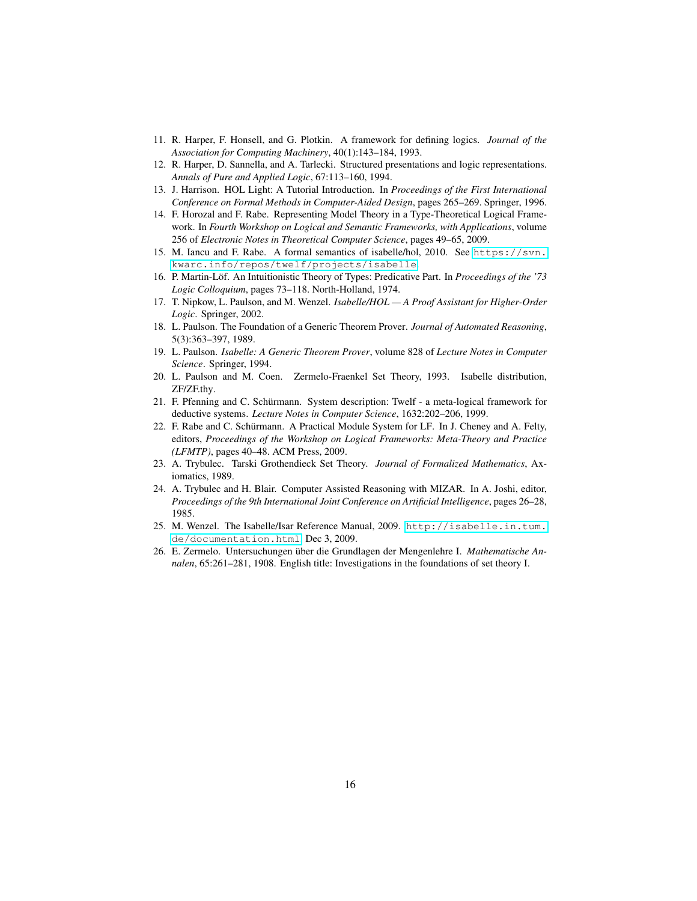- <span id="page-15-5"></span>11. R. Harper, F. Honsell, and G. Plotkin. A framework for defining logics. *Journal of the Association for Computing Machinery*, 40(1):143–184, 1993.
- <span id="page-15-12"></span>12. R. Harper, D. Sannella, and A. Tarlecki. Structured presentations and logic representations. *Annals of Pure and Applied Logic*, 67:113–160, 1994.
- <span id="page-15-0"></span>13. J. Harrison. HOL Light: A Tutorial Introduction. In *Proceedings of the First International Conference on Formal Methods in Computer-Aided Design*, pages 265–269. Springer, 1996.
- <span id="page-15-15"></span>14. F. Horozal and F. Rabe. Representing Model Theory in a Type-Theoretical Logical Framework. In *Fourth Workshop on Logical and Semantic Frameworks, with Applications*, volume 256 of *Electronic Notes in Theoretical Computer Science*, pages 49–65, 2009.
- <span id="page-15-8"></span>15. M. Iancu and F. Rabe. A formal semantics of isabelle/hol, 2010. See [https://svn.](https://svn.kwarc.info/repos/twelf/projects/isabelle) [kwarc.info/repos/twelf/projects/isabelle](https://svn.kwarc.info/repos/twelf/projects/isabelle).
- <span id="page-15-11"></span>16. P. Martin-Löf. An Intuitionistic Theory of Types: Predicative Part. In *Proceedings of the '73 Logic Colloquium*, pages 73–118. North-Holland, 1974.
- <span id="page-15-3"></span>17. T. Nipkow, L. Paulson, and M. Wenzel. *Isabelle/HOL — A Proof Assistant for Higher-Order Logic*. Springer, 2002.
- <span id="page-15-9"></span>18. L. Paulson. The Foundation of a Generic Theorem Prover. *Journal of Automated Reasoning*, 5(3):363–397, 1989.
- <span id="page-15-10"></span>19. L. Paulson. *Isabelle: A Generic Theorem Prover*, volume 828 of *Lecture Notes in Computer Science*. Springer, 1994.
- <span id="page-15-2"></span>20. L. Paulson and M. Coen. Zermelo-Fraenkel Set Theory, 1993. Isabelle distribution, ZF/ZF.thy.
- <span id="page-15-6"></span>21. F. Pfenning and C. Schürmann. System description: Twelf - a meta-logical framework for deductive systems. *Lecture Notes in Computer Science*, 1632:202–206, 1999.
- <span id="page-15-7"></span>22. F. Rabe and C. Schürmann. A Practical Module System for LF. In J. Cheney and A. Felty, editors, *Proceedings of the Workshop on Logical Frameworks: Meta-Theory and Practice (LFMTP)*, pages 40–48. ACM Press, 2009.
- <span id="page-15-14"></span>23. A. Trybulec. Tarski Grothendieck Set Theory. *Journal of Formalized Mathematics*, Axiomatics, 1989.
- <span id="page-15-1"></span>24. A. Trybulec and H. Blair. Computer Assisted Reasoning with MIZAR. In A. Joshi, editor, *Proceedings of the 9th International Joint Conference on Artificial Intelligence*, pages 26–28, 1985.
- <span id="page-15-13"></span>25. M. Wenzel. The Isabelle/Isar Reference Manual, 2009. [http://isabelle.in.tum.](http://isabelle.in.tum.de/documentation.html) [de/documentation.html](http://isabelle.in.tum.de/documentation.html), Dec 3, 2009.
- <span id="page-15-4"></span>26. E. Zermelo. Untersuchungen über die Grundlagen der Mengenlehre I. *Mathematische Annalen*, 65:261–281, 1908. English title: Investigations in the foundations of set theory I.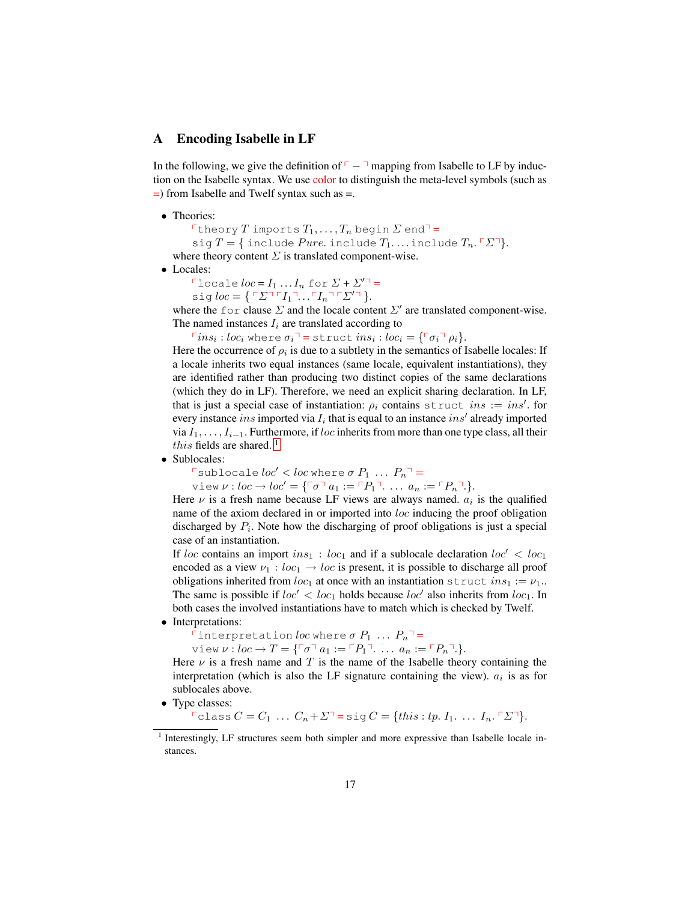#### A Encoding Isabelle in LF

In the following, we give the definition of  $\nabla - \nabla$  mapping from Isabelle to LF by induction on the Isabelle syntax. We use color to distinguish the meta-level symbols (such as =) from Isabelle and Twelf syntax such as =.

• Theories:

Theory T imports  $T_1, \ldots, T_n$  begin  $\Sigma$  end<sup>-</sup> sig  $T = \{$  include  $P$ ure. include  $T_1$ .... include  $T_n$ .  $\Sigma$ <sup>7</sup>. where theory content  $\Sigma$  is translated component-wise.

• Locales:

 $\Box$ locale  $loc = I_1 ... I_n$  for  $\Sigma + \Sigma'^{\Box} =$ 

sig  $loc = \{ \ulcorner \Sigma \urcorner \ulcorner I_1 \urcorner \ldots \ulcorner I_n \urcorner \ulcorner \Sigma' \urcorner \}.$ 

where the for clause  $\Sigma$  and the locale content  $\Sigma'$  are translated component-wise. The named instances  $I_i$  are translated according to

 $\ulcorner ins_i: loc_i$  where  $\sigma_i \urcorner$  = struct  $ins_i: loc_i = \{\ulcorner \sigma_i \urcorner \rho_i\}.$ 

Here the occurrence of  $\rho_i$  is due to a subtlety in the semantics of Isabelle locales: If a locale inherits two equal instances (same locale, equivalent instantiations), they are identified rather than producing two distinct copies of the same declarations (which they do in LF). Therefore, we need an explicit sharing declaration. In LF, that is just a special case of instantiation:  $\rho_i$  contains struct ins := ins'. for every instance ins imported via  $I_i$  that is equal to an instance ins' already imported via  $I_1, \ldots, I_{i-1}$ . Furthermore, if loc inherits from more than one type class, all their this fields are shared.<sup>[1](#page-16-0)</sup>

• Sublocales:

 $\lceil$  sublocale  $loc' < loc$  where  $\sigma P_1 ... P_n \rceil =$ 

view  $\nu : loc \to loc' = {\ulcorner \sigma \urcorner a_1 := \ulcorner P_1 \urcorner \ldots a_n := \ulcorner P_n \urcorner}.$ 

Here  $\nu$  is a fresh name because LF views are always named.  $a_i$  is the qualified name of the axiom declared in or imported into loc inducing the proof obligation discharged by  $P_i$ . Note how the discharging of proof obligations is just a special case of an instantiation.

If loc contains an import  $ins_1 : loc_1$  and if a sublocale declaration  $loc' < loc_1$ encoded as a view  $\nu_1 : loc_1 \to loc$  is present, it is possible to discharge all proof obligations inherited from  $loc_1$  at once with an instantiation struct  $ins_1 := \nu_1$ . The same is possible if  $loc' < loc_1$  holds because  $loc'$  also inherits from  $loc_1$ . In both cases the involved instantiations have to match which is checked by Twelf.

• Interpretations:

Tinterpretation loc where  $\sigma P_1 \ldots P_n$ <sup>-</sup>

view  $\nu : loc \to T = {\ulcorner \sigma \urcorner a_1 := \ulcorner P_1 \urcorner \ldots a_n := \ulcorner P_n \urcorner}.$ 

Here  $\nu$  is a fresh name and T is the name of the Isabelle theory containing the interpretation (which is also the LF signature containing the view).  $a_i$  is as for sublocales above.

• Type classes:

 $\nabla \text{class } C = C_1 \dots C_n + \Sigma^\neg = \text{sig } C = \{\text{this}: \text{tp. } I_1. \dots I_n. \Gamma \Sigma^\neg \}.$ 

<span id="page-16-0"></span><sup>&</sup>lt;sup>1</sup> Interestingly, LF structures seem both simpler and more expressive than Isabelle locale instances.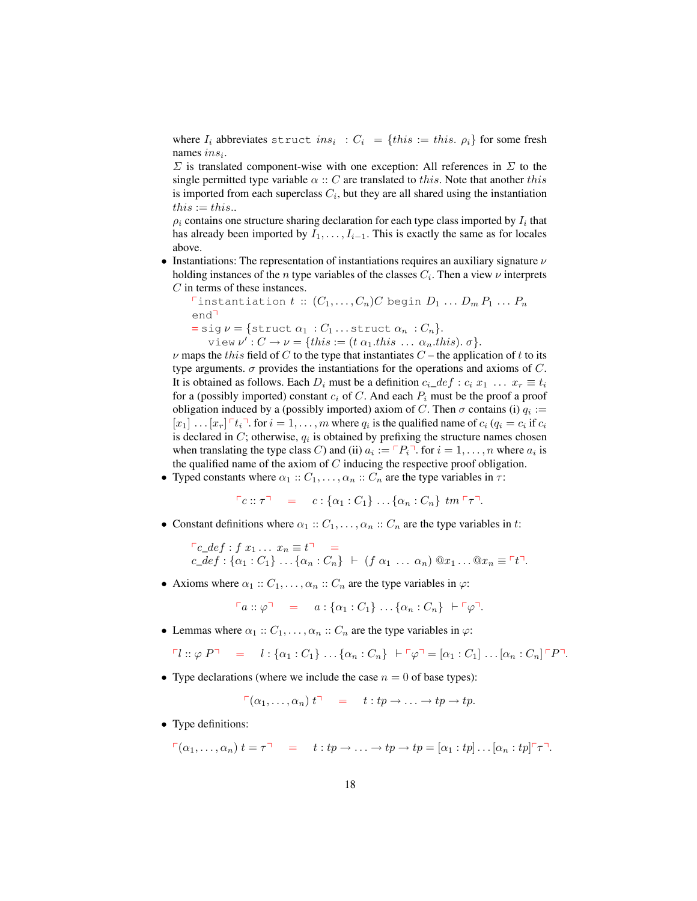where  $I_i$  abbreviates struct  $ins_i : C_i = \{this := this, \rho_i\}$  for some fresh names  $ins_i$ .

 $\Sigma$  is translated component-wise with one exception: All references in  $\Sigma$  to the single permitted type variable  $\alpha :: C$  are translated to this. Note that another this is imported from each superclass  $C_i$ , but they are all shared using the instantiation  $this := this$ .

 $\rho_i$  contains one structure sharing declaration for each type class imported by  $I_i$  that has already been imported by  $I_1, \ldots, I_{i-1}$ . This is exactly the same as for locales above.

• Instantiations: The representation of instantiations requires an auxiliary signature  $\nu$ holding instances of the *n* type variables of the classes  $C_i$ . Then a view  $\nu$  interprets C in terms of these instances.

 $\Gamma$ instantiation  $t :: (C_1, \ldots, C_n)C$  begin  $D_1 \ldots D_m P_1 \ldots P_n$  $end<sup>7</sup>$  $=$  sig  $\nu = \{$ struct  $\alpha_1 : C_1 \dots$  struct  $\alpha_n : C_n$  $\}.$ view  $\nu'$ :  $C \rightarrow \nu = \{this := (t \alpha_1.this ... \alpha_n.this). \sigma\}.$ 

 $\nu$  maps the this field of C to the type that instantiates C – the application of t to its type arguments.  $\sigma$  provides the instantiations for the operations and axioms of C. It is obtained as follows. Each  $D_i$  must be a definition  $c_i$   $def : c_i$   $x_1$  ...  $x_r \equiv t_i$ for a (possibly imported) constant  $c_i$  of C. And each  $P_i$  must be the proof a proof obligation induced by a (possibly imported) axiom of C. Then  $\sigma$  contains (i)  $q_i :=$  $[x_1] \dots [x_r]$   $\ulcorner t_i \urcorner$  for  $i = 1, \dots, m$  where  $q_i$  is the qualified name of  $c_i$  ( $q_i = c_i$  if  $c_i$ is declared in  $C$ ; otherwise,  $q_i$  is obtained by prefixing the structure names chosen when translating the type class C) and (ii)  $a_i := \ulcorner P_i \urcorner$  for  $i = 1, \ldots, n$  where  $a_i$  is the qualified name of the axiom of  $C$  inducing the respective proof obligation.

• Typed constants where  $\alpha_1 :: C_1, \ldots, \alpha_n :: C_n$  are the type variables in  $\tau$ :

$$
\ulcorner c :: \tau \urcorner = c : \{ \alpha_1 : C_1 \} \dots \{ \alpha_n : C_n \} \tminspace tm \thinspace \ulcorner \tau \urcorner.
$$

• Constant definitions where  $\alpha_1 :: C_1, \ldots, \alpha_n :: C_n$  are the type variables in t:

$$
\begin{aligned}\n\Gamma c \_def : f x_1 \dots x_n &\equiv t^\top = \\
c \_def : \{\alpha_1 : C_1\} \dots \{\alpha_n : C_n\} \vdash (f \ \alpha_1 \dots \alpha_n) \ @x_1 \dots @x_n \equiv \ulcorner t^\top.\n\end{aligned}
$$

• Axioms where  $\alpha_1 :: C_1, \ldots, \alpha_n :: C_n$  are the type variables in  $\varphi$ :

$$
\ulcorner a :: \varphi \urcorner = a : \{ \alpha_1 : C_1 \} \dots \{ \alpha_n : C_n \} \vdash \ulcorner \varphi \urcorner.
$$

• Lemmas where  $\alpha_1 :: C_1, \ldots, \alpha_n :: C_n$  are the type variables in  $\varphi$ :

$$
\ulcorner l :: \varphi P \urcorner = l : \{\alpha_1 : C_1\} \dots \{\alpha_n : C_n\} \vdash \ulcorner \varphi \urcorner = [\alpha_1 : C_1] \dots [\alpha_n : C_n] \ulcorner P \urcorner.
$$

• Type declarations (where we include the case  $n = 0$  of base types):

$$
\ulcorner (\alpha_1, \ldots, \alpha_n) \ t \urcorner \quad = \quad t : tp \to \ldots \to tp \to tp.
$$

• Type definitions:

$$
\ulcorner (\alpha_1, \ldots, \alpha_n) \ t = \tau \urcorner \quad = \quad t : tp \to \ldots \to tp \to tp = [\alpha_1 : tp] \ldots [\alpha_n : tp] \ulcorner \tau \urcorner.
$$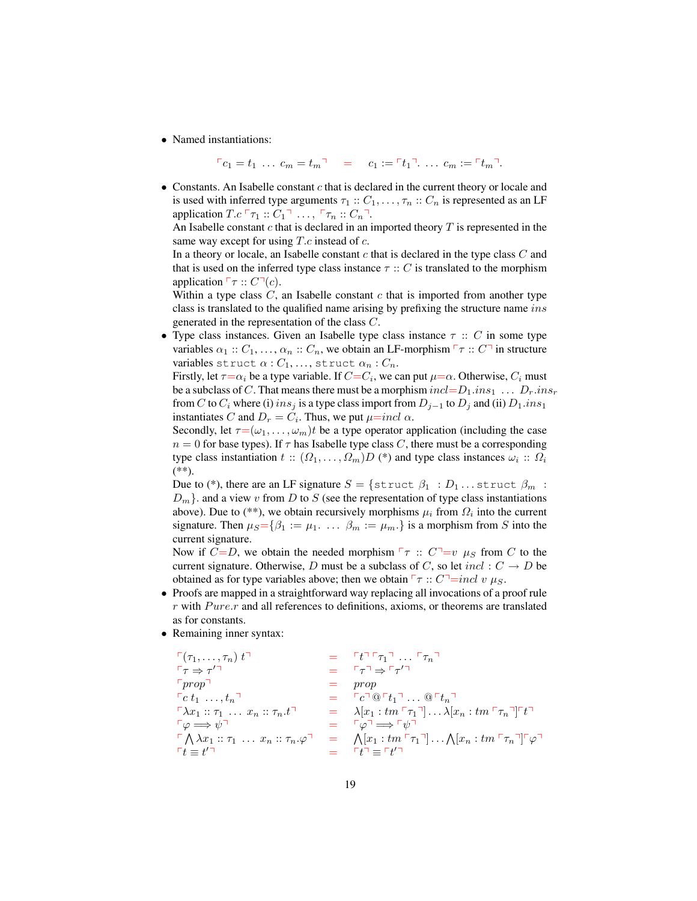• Named instantiations:

$$
\ulcorner c_1 = t_1 \ \ldots \ c_m = t_m \urcorner \quad = \quad c_1 := \ulcorner t_1 \urcorner \ldots \ c_m := \ulcorner t_m \urcorner.
$$

 $\bullet$  Constants. An Isabelle constant  $c$  that is declared in the current theory or locale and is used with inferred type arguments  $\tau_1 :: C_1, \ldots, \tau_n :: C_n$  is represented as an LF application  $T.c \rightharpoonup \tau_1 :: C_1 \rightharpoonup \ldots$ ,  $rightharpoonup \tau_n :: C_n \rightharpoonup$ .

An Isabelle constant  $c$  that is declared in an imported theory  $T$  is represented in the same way except for using  $T.c$  instead of  $c$ .

In a theory or locale, an Isabelle constant  $c$  that is declared in the type class  $C$  and that is used on the inferred type class instance  $\tau :: C$  is translated to the morphism application  $\ulcorner \tau :: C \urcorner (c)$ .

Within a type class  $C$ , an Isabelle constant  $c$  that is imported from another type class is translated to the qualified name arising by prefixing the structure name ins generated in the representation of the class C.

• Type class instances. Given an Isabelle type class instance  $\tau :: C$  in some type variables  $\alpha_1 :: C_1, \ldots, \alpha_n :: C_n$ , we obtain an LF-morphism  $\ulcorner \tau :: C \urcorner$  in structure variables struct  $\alpha$  :  $C_1, \ldots$ , struct  $\alpha_n$  :  $C_n$ .

Firstly, let  $\tau{=}\alpha_i$  be a type variable. If  $C{=}C_i$ , we can put  $\mu{=}\alpha$ . Otherwise,  $C_i$  must be a subclass of C. That means there must be a morphism  $incl = D_1.ins_1 \ldots D_r.ins_r$ from C to  $C_i$  where (i) ins<sub>j</sub> is a type class import from  $D_{j-1}$  to  $D_j$  and (ii)  $D_1$ .ins<sub>1</sub> instantiates C and  $D_r = C_i$ . Thus, we put  $\mu$ =incl  $\alpha$ .

Secondly, let  $\tau = (\omega_1, \dots, \omega_m)t$  be a type operator application (including the case  $n = 0$  for base types). If  $\tau$  has Isabelle type class C, there must be a corresponding type class instantiation  $t: (\Omega_1, \ldots, \Omega_m)D$  (\*) and type class instances  $\omega_i: \Omega_i$  $(**)$ .

Due to (\*), there are an LF signature  $S = \{$ struct  $\beta_1 : D_1 ...$  struct  $\beta_m :$  $D_m$ . and a view v from D to S (see the representation of type class instantiations above). Due to (\*\*), we obtain recursively morphisms  $\mu_i$  from  $\Omega_i$  into the current signature. Then  $\mu_S = {\beta_1 := \mu_1 \ldots \beta_m := \mu_m}$  is a morphism from S into the current signature.

Now if  $C=D$ , we obtain the needed morphism  $\lceil \tau : C \rceil = v \mu_S$  from C to the current signature. Otherwise, D must be a subclass of C, so let  $incl : C \to D$  be obtained as for type variables above; then we obtain  $\lceil \tau : c \rceil = incl v \mu_S$ .

- Proofs are mapped in a straightforward way replacing all invocations of a proof rule  $r$  with  $P$ *ure.r* and all references to definitions, axioms, or theorems are translated as for constants.
- Remaining inner syntax:

$$
\begin{array}{lll}\n\Gamma(\tau_1, \ldots, \tau_n) \ t^{\top} & = & \Gamma t^{\top} \Gamma \tau_1^{\top} \ldots \Gamma \tau_n^{\top} \\
\Gamma \tau \Rightarrow \tau^{\prime \top} & = & \Gamma \tau^{\top} \Rightarrow \Gamma \tau^{\prime \top} \\
\Gamma prop^{\top} & = & prop \\
\Gamma c \ t_1 \ \ldots, \ t_n^{\top} & = & \Gamma c^{\top} @^{\top} t_1^{\top} \ldots @^{\top} t_n^{\top} \\
\Gamma \lambda x_1 :: \tau_1 \ \ldots \ x_n :: \tau_n . t^{\top} & = & \lambda [x_1 : tm \Gamma \tau_1^{\top}] \ldots \lambda [x_n : tm \Gamma \tau_n^{\top}]^{\top} t^{\top} \\
\Gamma \varphi \Longrightarrow \psi^{\top} & = & \Gamma \varphi^{\top} \Longrightarrow \Gamma \psi^{\top} \\
\Gamma \Lambda \lambda x_1 :: \tau_1 \ \ldots \ x_n :: \tau_n . \varphi^{\top} & = & \Lambda [x_1 : tm \Gamma \tau_1^{\top}] \ldots \Lambda [x_n : tm \Gamma \tau_n^{\top}]^{\top} \varphi^{\top} \\
\Gamma t \equiv t^{\prime \top}\n\end{array}
$$